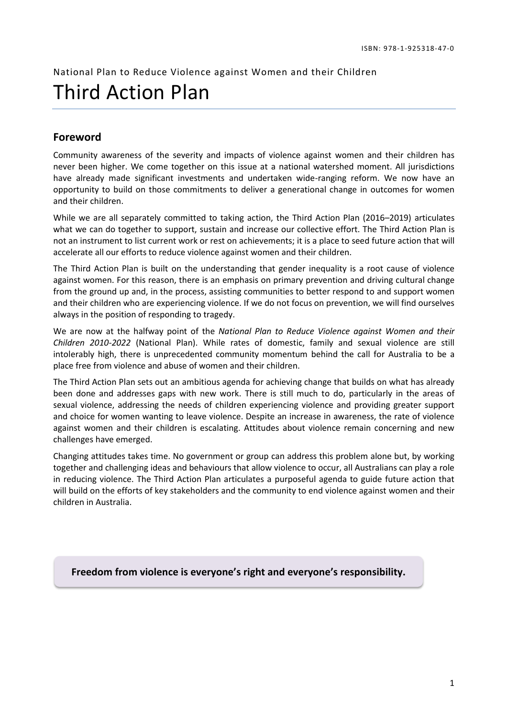National Plan to Reduce Violence against Women and their Children Third Action Plan

## **Foreword**

Community awareness of the severity and impacts of violence against women and their children has never been higher. We come together on this issue at a national watershed moment. All jurisdictions have already made significant investments and undertaken wide-ranging reform. We now have an opportunity to build on those commitments to deliver a generational change in outcomes for women and their children.

While we are all separately committed to taking action, the Third Action Plan (2016–2019) articulates what we can do together to support, sustain and increase our collective effort. The Third Action Plan is not an instrument to list current work or rest on achievements; it is a place to seed future action that will accelerate all our efforts to reduce violence against women and their children.

The Third Action Plan is built on the understanding that gender inequality is a root cause of violence against women. For this reason, there is an emphasis on primary prevention and driving cultural change from the ground up and, in the process, assisting communities to better respond to and support women and their children who are experiencing violence. If we do not focus on prevention, we will find ourselves always in the position of responding to tragedy.

We are now at the halfway point of the *National Plan to Reduce Violence against Women and their Children 2010-2022* (National Plan). While rates of domestic, family and sexual violence are still intolerably high, there is unprecedented community momentum behind the call for Australia to be a place free from violence and abuse of women and their children.

The Third Action Plan sets out an ambitious agenda for achieving change that builds on what has already been done and addresses gaps with new work. There is still much to do, particularly in the areas of sexual violence, addressing the needs of children experiencing violence and providing greater support and choice for women wanting to leave violence. Despite an increase in awareness, the rate of violence against women and their children is escalating. Attitudes about violence remain concerning and new challenges have emerged.

Changing attitudes takes time. No government or group can address this problem alone but, by working together and challenging ideas and behaviours that allow violence to occur, all Australians can play a role in reducing violence. The Third Action Plan articulates a purposeful agenda to guide future action that will build on the efforts of key stakeholders and the community to end violence against women and their children in Australia.

**Freedom from violence is everyone's right and everyone's responsibility.**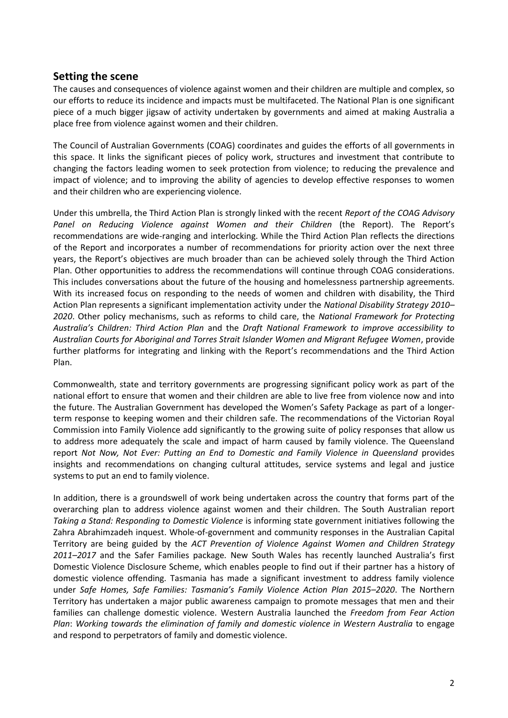## **Setting the scene**

The causes and consequences of violence against women and their children are multiple and complex, so our efforts to reduce its incidence and impacts must be multifaceted. The National Plan is one significant piece of a much bigger jigsaw of activity undertaken by governments and aimed at making Australia a place free from violence against women and their children.

The Council of Australian Governments (COAG) coordinates and guides the efforts of all governments in this space. It links the significant pieces of policy work, structures and investment that contribute to changing the factors leading women to seek protection from violence; to reducing the prevalence and impact of violence; and to improving the ability of agencies to develop effective responses to women and their children who are experiencing violence.

Under this umbrella, the Third Action Plan is strongly linked with the recent *Report of the COAG Advisory Panel on Reducing Violence against Women and their Children* (the Report). The Report's recommendations are wide-ranging and interlocking. While the Third Action Plan reflects the directions of the Report and incorporates a number of recommendations for priority action over the next three years, the Report's objectives are much broader than can be achieved solely through the Third Action Plan. Other opportunities to address the recommendations will continue through COAG considerations. This includes conversations about the future of the housing and homelessness partnership agreements. With its increased focus on responding to the needs of women and children with disability, the Third Action Plan represents a significant implementation activity under the *National Disability Strategy 2010– 2020*. Other policy mechanisms, such as reforms to child care, the *National Framework for Protecting Australia's Children: Third Action Plan* and the *Draft National Framework to improve accessibility to Australian Courts for Aboriginal and Torres Strait Islander Women and Migrant Refugee Women*, provide further platforms for integrating and linking with the Report's recommendations and the Third Action Plan.

Commonwealth, state and territory governments are progressing significant policy work as part of the national effort to ensure that women and their children are able to live free from violence now and into the future. The Australian Government has developed the Women's Safety Package as part of a longerterm response to keeping women and their children safe. The recommendations of the Victorian Royal Commission into Family Violence add significantly to the growing suite of policy responses that allow us to address more adequately the scale and impact of harm caused by family violence. The Queensland report *Not Now, Not Ever: Putting an End to Domestic and Family Violence in Queensland* provides insights and recommendations on changing cultural attitudes, service systems and legal and justice systems to put an end to family violence.

In addition, there is a groundswell of work being undertaken across the country that forms part of the overarching plan to address violence against women and their children. The South Australian report *Taking a Stand: Responding to Domestic Violence* is informing state government initiatives following the Zahra Abrahimzadeh inquest. Whole-of-government and community responses in the Australian Capital Territory are being guided by the *ACT Prevention of Violence Against Women and Children Strategy 2011–2017* and the Safer Families package*.* New South Wales has recently launched Australia's first Domestic Violence Disclosure Scheme, which enables people to find out if their partner has a history of domestic violence offending. Tasmania has made a significant investment to address family violence under *Safe Homes, Safe Families: Tasmania's Family Violence Action Plan 2015–2020*. The Northern Territory has undertaken a major public awareness campaign to promote messages that men and their families can challenge domestic violence. Western Australia launched the *Freedom from Fear Action Plan*: *Working towards the elimination of family and domestic violence in Western Australia* to engage and respond to perpetrators of family and domestic violence.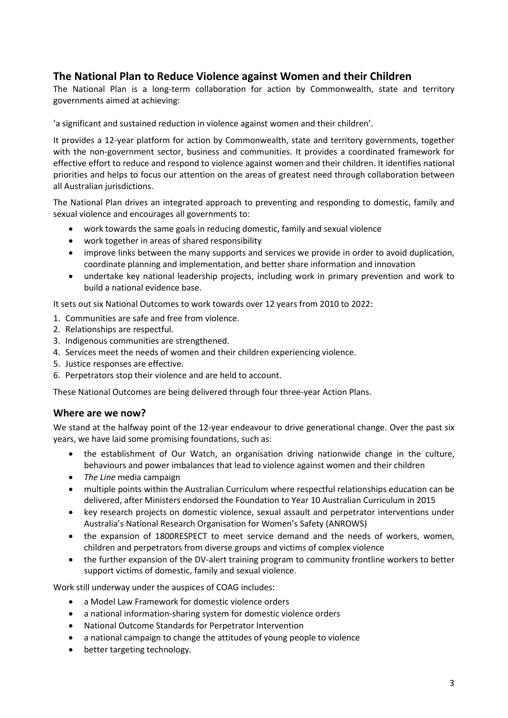# **The National Plan to Reduce Violence against Women and their Children**

The National Plan is a long-term collaboration for action by Commonwealth, state and territory governments aimed at achieving:

'a significant and sustained reduction in violence against women and their children'.

It provides a 12-year platform for action by Commonwealth, state and territory governments, together with the non-government sector, business and communities. It provides a coordinated framework for effective effort to reduce and respond to violence against women and their children. It identifies national priorities and helps to focus our attention on the areas of greatest need through collaboration between all Australian jurisdictions.

The National Plan drives an integrated approach to preventing and responding to domestic, family and sexual violence and encourages all governments to:

- work towards the same goals in reducing domestic, family and sexual violence
- work together in areas of shared responsibility
- improve links between the many supports and services we provide in order to avoid duplication, coordinate planning and implementation, and better share information and innovation
- undertake key national leadership projects, including work in primary prevention and work to build a national evidence base.

It sets out six National Outcomes to work towards over 12 years from 2010 to 2022:

- 1. Communities are safe and free from violence.
- 2. Relationships are respectful.
- 3. Indigenous communities are strengthened.
- 4. Services meet the needs of women and their children experiencing violence.
- 5. Justice responses are effective.
- 6. Perpetrators stop their violence and are held to account.

These National Outcomes are being delivered through four three-year Action Plans.

## **Where are we now?**

We stand at the halfway point of the 12-year endeavour to drive generational change. Over the past six years, we have laid some promising foundations, such as:

- the establishment of Our Watch, an organisation driving nationwide change in the culture, behaviours and power imbalances that lead to violence against women and their children
- *The Line* media campaign
- multiple points within the Australian Curriculum where respectful relationships education can be delivered, after Ministers endorsed the Foundation to Year 10 Australian Curriculum in 2015
- key research projects on domestic violence, sexual assault and perpetrator interventions under Australia's National Research Organisation for Women's Safety (ANROWS)
- the expansion of 1800RESPECT to meet service demand and the needs of workers, women, children and perpetrators from diverse groups and victims of complex violence
- the further expansion of the DV-alert training program to community frontline workers to better support victims of domestic, family and sexual violence.

Work still underway under the auspices of COAG includes:

- a Model Law Framework for domestic violence orders
- a national information-sharing system for domestic violence orders
- National Outcome Standards for Perpetrator Intervention
- a national campaign to change the attitudes of young people to violence
- better targeting technology.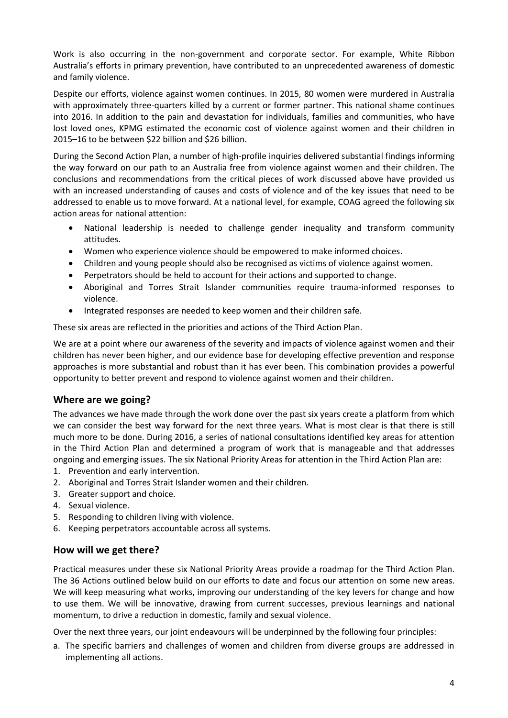Work is also occurring in the non-government and corporate sector. For example, White Ribbon Australia's efforts in primary prevention, have contributed to an unprecedented awareness of domestic and family violence.

Despite our efforts, violence against women continues. In 2015, 80 women were murdered in Australia with approximately three-quarters killed by a current or former partner. This national shame continues into 2016. In addition to the pain and devastation for individuals, families and communities, who have lost loved ones, KPMG estimated the economic cost of violence against women and their children in 2015–16 to be between \$22 billion and \$26 billion.

During the Second Action Plan, a number of high-profile inquiries delivered substantial findings informing the way forward on our path to an Australia free from violence against women and their children. The conclusions and recommendations from the critical pieces of work discussed above have provided us with an increased understanding of causes and costs of violence and of the key issues that need to be addressed to enable us to move forward. At a national level, for example, COAG agreed the following six action areas for national attention:

- National leadership is needed to challenge gender inequality and transform community attitudes.
- Women who experience violence should be empowered to make informed choices.
- Children and young people should also be recognised as victims of violence against women.
- Perpetrators should be held to account for their actions and supported to change.
- Aboriginal and Torres Strait Islander communities require trauma-informed responses to violence.
- Integrated responses are needed to keep women and their children safe.

These six areas are reflected in the priorities and actions of the Third Action Plan.

We are at a point where our awareness of the severity and impacts of violence against women and their children has never been higher, and our evidence base for developing effective prevention and response approaches is more substantial and robust than it has ever been. This combination provides a powerful opportunity to better prevent and respond to violence against women and their children.

## **Where are we going?**

The advances we have made through the work done over the past six years create a platform from which we can consider the best way forward for the next three years. What is most clear is that there is still much more to be done. During 2016, a series of national consultations identified key areas for attention in the Third Action Plan and determined a program of work that is manageable and that addresses ongoing and emerging issues. The six National Priority Areas for attention in the Third Action Plan are:

- 1. Prevention and early intervention.
- 2. Aboriginal and Torres Strait Islander women and their children.
- 3. Greater support and choice.
- 4. Sexual violence.
- 5. Responding to children living with violence.
- 6. Keeping perpetrators accountable across all systems.

## **How will we get there?**

Practical measures under these six National Priority Areas provide a roadmap for the Third Action Plan. The 36 Actions outlined below build on our efforts to date and focus our attention on some new areas. We will keep measuring what works, improving our understanding of the key levers for change and how to use them. We will be innovative, drawing from current successes, previous learnings and national momentum, to drive a reduction in domestic, family and sexual violence.

Over the next three years, our joint endeavours will be underpinned by the following four principles:

a. The specific barriers and challenges of women and children from diverse groups are addressed in implementing all actions.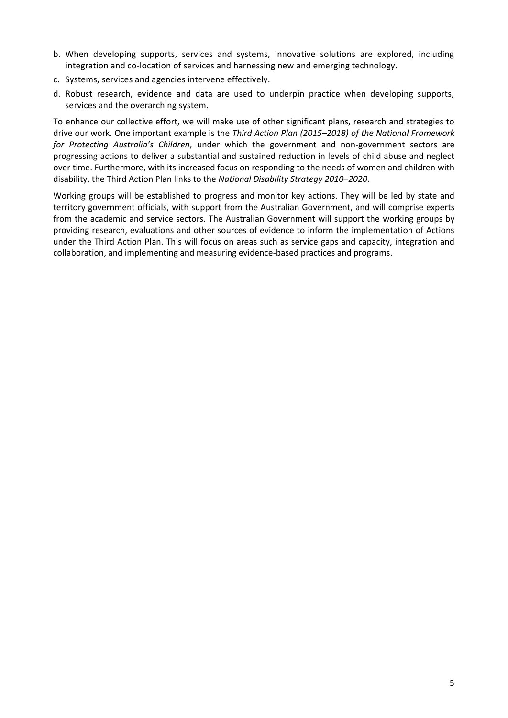- b. When developing supports, services and systems, innovative solutions are explored, including integration and co-location of services and harnessing new and emerging technology.
- c. Systems, services and agencies intervene effectively.
- d. Robust research, evidence and data are used to underpin practice when developing supports, services and the overarching system.

To enhance our collective effort, we will make use of other significant plans, research and strategies to drive our work. One important example is the *Third Action Plan (2015–2018) of the National Framework for Protecting Australia's Children*, under which the government and non-government sectors are progressing actions to deliver a substantial and sustained reduction in levels of child abuse and neglect over time. Furthermore, with its increased focus on responding to the needs of women and children with disability, the Third Action Plan links to the *National Disability Strategy 2010–2020*.

Working groups will be established to progress and monitor key actions. They will be led by state and territory government officials, with support from the Australian Government, and will comprise experts from the academic and service sectors. The Australian Government will support the working groups by providing research, evaluations and other sources of evidence to inform the implementation of Actions under the Third Action Plan. This will focus on areas such as service gaps and capacity, integration and collaboration, and implementing and measuring evidence-based practices and programs.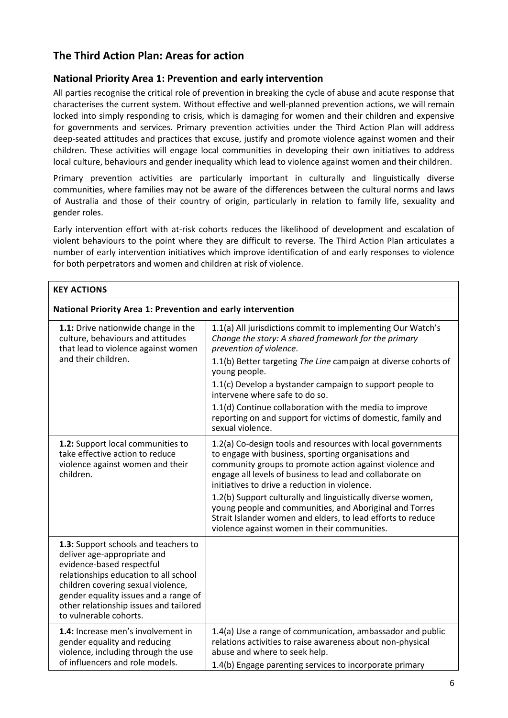# **The Third Action Plan: Areas for action**

## **National Priority Area 1: Prevention and early intervention**

All parties recognise the critical role of prevention in breaking the cycle of abuse and acute response that characterises the current system. Without effective and well-planned prevention actions, we will remain locked into simply responding to crisis, which is damaging for women and their children and expensive for governments and services. Primary prevention activities under the Third Action Plan will address deep-seated attitudes and practices that excuse, justify and promote violence against women and their children. These activities will engage local communities in developing their own initiatives to address local culture, behaviours and gender inequality which lead to violence against women and their children.

Primary prevention activities are particularly important in culturally and linguistically diverse communities, where families may not be aware of the differences between the cultural norms and laws of Australia and those of their country of origin, particularly in relation to family life, sexuality and gender roles.

Early intervention effort with at-risk cohorts reduces the likelihood of development and escalation of violent behaviours to the point where they are difficult to reverse. The Third Action Plan articulates a number of early intervention initiatives which improve identification of and early responses to violence for both perpetrators and women and children at risk of violence.

| <b>KEY ACTIONS</b>                                                                                                                                                                                                                                                                           |                                                                                                                                                                                                                                                                                            |
|----------------------------------------------------------------------------------------------------------------------------------------------------------------------------------------------------------------------------------------------------------------------------------------------|--------------------------------------------------------------------------------------------------------------------------------------------------------------------------------------------------------------------------------------------------------------------------------------------|
| National Priority Area 1: Prevention and early intervention                                                                                                                                                                                                                                  |                                                                                                                                                                                                                                                                                            |
| 1.1: Drive nationwide change in the<br>culture, behaviours and attitudes<br>that lead to violence against women<br>and their children.                                                                                                                                                       | 1.1(a) All jurisdictions commit to implementing Our Watch's<br>Change the story: A shared framework for the primary<br>prevention of violence.<br>1.1(b) Better targeting The Line campaign at diverse cohorts of                                                                          |
|                                                                                                                                                                                                                                                                                              | young people.<br>1.1(c) Develop a bystander campaign to support people to<br>intervene where safe to do so.                                                                                                                                                                                |
|                                                                                                                                                                                                                                                                                              | 1.1(d) Continue collaboration with the media to improve<br>reporting on and support for victims of domestic, family and<br>sexual violence.                                                                                                                                                |
| 1.2: Support local communities to<br>take effective action to reduce<br>violence against women and their<br>children.                                                                                                                                                                        | 1.2(a) Co-design tools and resources with local governments<br>to engage with business, sporting organisations and<br>community groups to promote action against violence and<br>engage all levels of business to lead and collaborate on<br>initiatives to drive a reduction in violence. |
|                                                                                                                                                                                                                                                                                              | 1.2(b) Support culturally and linguistically diverse women,<br>young people and communities, and Aboriginal and Torres<br>Strait Islander women and elders, to lead efforts to reduce<br>violence against women in their communities.                                                      |
| 1.3: Support schools and teachers to<br>deliver age-appropriate and<br>evidence-based respectful<br>relationships education to all school<br>children covering sexual violence,<br>gender equality issues and a range of<br>other relationship issues and tailored<br>to vulnerable cohorts. |                                                                                                                                                                                                                                                                                            |
| 1.4: Increase men's involvement in<br>gender equality and reducing<br>violence, including through the use<br>of influencers and role models.                                                                                                                                                 | 1.4(a) Use a range of communication, ambassador and public<br>relations activities to raise awareness about non-physical<br>abuse and where to seek help.<br>1.4(b) Engage parenting services to incorporate primary                                                                       |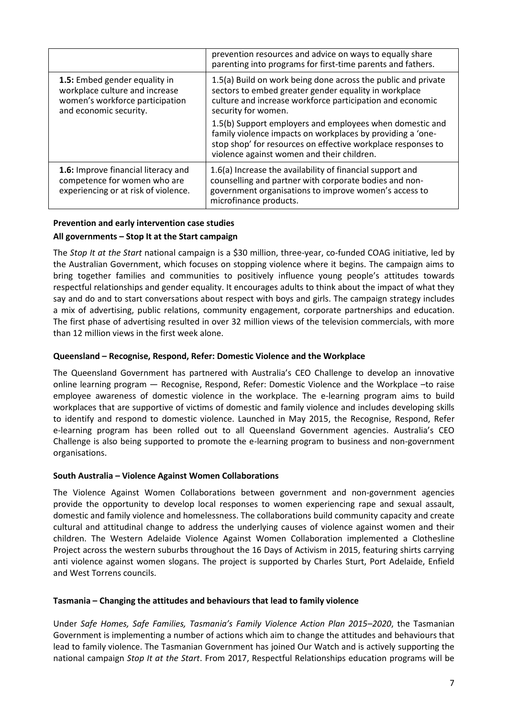|                                                                                                                              | prevention resources and advice on ways to equally share<br>parenting into programs for first-time parents and fathers.                                                                                                              |
|------------------------------------------------------------------------------------------------------------------------------|--------------------------------------------------------------------------------------------------------------------------------------------------------------------------------------------------------------------------------------|
| 1.5: Embed gender equality in<br>workplace culture and increase<br>women's workforce participation<br>and economic security. | 1.5(a) Build on work being done across the public and private<br>sectors to embed greater gender equality in workplace<br>culture and increase workforce participation and economic<br>security for women.                           |
|                                                                                                                              | 1.5(b) Support employers and employees when domestic and<br>family violence impacts on workplaces by providing a 'one-<br>stop shop' for resources on effective workplace responses to<br>violence against women and their children. |
| 1.6: Improve financial literacy and<br>competence for women who are<br>experiencing or at risk of violence.                  | 1.6(a) Increase the availability of financial support and<br>counselling and partner with corporate bodies and non-<br>government organisations to improve women's access to<br>microfinance products.                               |

### **Prevention and early intervention case studies All governments – Stop It at the Start campaign**

The *Stop It at the Start* national campaign is a \$30 million, three-year, co-funded COAG initiative, led by the Australian Government, which focuses on stopping violence where it begins. The campaign aims to bring together families and communities to positively influence young people's attitudes towards respectful relationships and gender equality. It encourages adults to think about the impact of what they say and do and to start conversations about respect with boys and girls. The campaign strategy includes a mix of advertising, public relations, community engagement, corporate partnerships and education. The first phase of advertising resulted in over 32 million views of the television commercials, with more than 12 million views in the first week alone.

## **Queensland – Recognise, Respond, Refer: Domestic Violence and the Workplace**

The Queensland Government has partnered with Australia's CEO Challenge to develop an innovative online learning program — Recognise, Respond, Refer: Domestic Violence and the Workplace –to raise employee awareness of domestic violence in the workplace. The e-learning program aims to build workplaces that are supportive of victims of domestic and family violence and includes developing skills to identify and respond to domestic violence. Launched in May 2015, the Recognise, Respond, Refer e-learning program has been rolled out to all Queensland Government agencies. Australia's CEO Challenge is also being supported to promote the e-learning program to business and non-government organisations.

## **South Australia – Violence Against Women Collaborations**

The Violence Against Women Collaborations between government and non-government agencies provide the opportunity to develop local responses to women experiencing rape and sexual assault, domestic and family violence and homelessness. The collaborations build community capacity and create cultural and attitudinal change to address the underlying causes of violence against women and their children. The Western Adelaide Violence Against Women Collaboration implemented a Clothesline Project across the western suburbs throughout the 16 Days of Activism in 2015, featuring shirts carrying anti violence against women slogans. The project is supported by Charles Sturt, Port Adelaide, Enfield and West Torrens councils.

## **Tasmania – Changing the attitudes and behaviours that lead to family violence**

Under *Safe Homes, Safe Families, Tasmania's Family Violence Action Plan 2015*–*2020*, the Tasmanian Government is implementing a number of actions which aim to change the attitudes and behaviours that lead to family violence. The Tasmanian Government has joined Our Watch and is actively supporting the national campaign *Stop It at the Start*. From 2017, Respectful Relationships education programs will be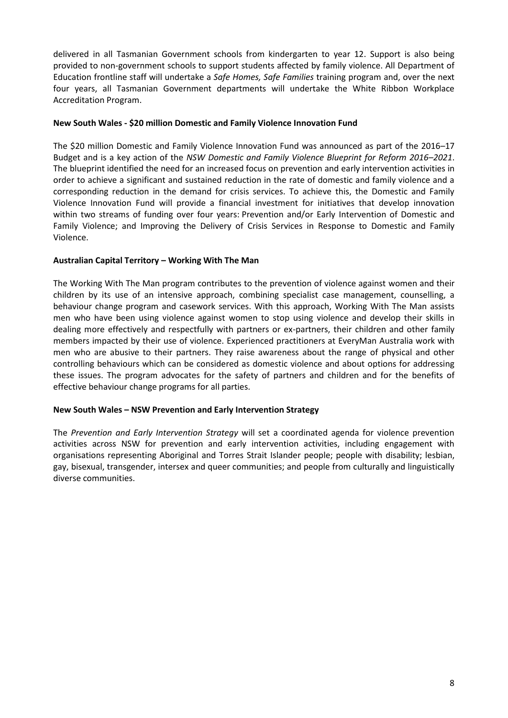delivered in all Tasmanian Government schools from kindergarten to year 12. Support is also being provided to non-government schools to support students affected by family violence. All Department of Education frontline staff will undertake a *Safe Homes, Safe Families* training program and, over the next four years, all Tasmanian Government departments will undertake the White Ribbon Workplace Accreditation Program.

### **New South Wales - \$20 million Domestic and Family Violence Innovation Fund**

The \$20 million Domestic and Family Violence Innovation Fund was announced as part of the 2016–17 Budget and is a key action of the *NSW Domestic and Family Violence Blueprint for Reform 2016–2021*. The blueprint identified the need for an increased focus on prevention and early intervention activities in order to achieve a significant and sustained reduction in the rate of domestic and family violence and a corresponding reduction in the demand for crisis services. To achieve this, the Domestic and Family Violence Innovation Fund will provide a financial investment for initiatives that develop innovation within two streams of funding over four years: Prevention and/or Early Intervention of Domestic and Family Violence; and Improving the Delivery of Crisis Services in Response to Domestic and Family Violence.

### **Australian Capital Territory – Working With The Man**

The Working With The Man program contributes to the prevention of violence against women and their children by its use of an intensive approach, combining specialist case management, counselling, a behaviour change program and casework services. With this approach, Working With The Man assists men who have been using violence against women to stop using violence and develop their skills in dealing more effectively and respectfully with partners or ex-partners, their children and other family members impacted by their use of violence. Experienced practitioners at EveryMan Australia work with men who are abusive to their partners. They raise awareness about the range of physical and other controlling behaviours which can be considered as domestic violence and about options for addressing these issues. The program advocates for the safety of partners and children and for the benefits of effective behaviour change programs for all parties.

#### **New South Wales – NSW Prevention and Early Intervention Strategy**

The *Prevention and Early Intervention Strategy* will set a coordinated agenda for violence prevention activities across NSW for prevention and early intervention activities, including engagement with organisations representing Aboriginal and Torres Strait Islander people; people with disability; lesbian, gay, bisexual, transgender, intersex and queer communities; and people from culturally and linguistically diverse communities.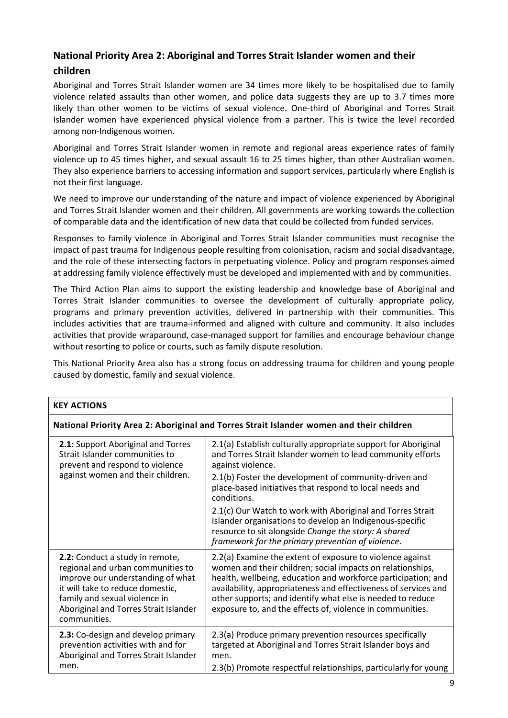## **National Priority Area 2: Aboriginal and Torres Strait Islander women and their**

## **children**

Aboriginal and Torres Strait Islander women are 34 times more likely to be hospitalised due to family violence related assaults than other women, and police data suggests they are up to 3.7 times more likely than other women to be victims of sexual violence. One-third of Aboriginal and Torres Strait Islander women have experienced physical violence from a partner. This is twice the level recorded among non-Indigenous women.

Aboriginal and Torres Strait Islander women in remote and regional areas experience rates of family violence up to 45 times higher, and sexual assault 16 to 25 times higher, than other Australian women. They also experience barriers to accessing information and support services, particularly where English is not their first language.

We need to improve our understanding of the nature and impact of violence experienced by Aboriginal and Torres Strait Islander women and their children. All governments are working towards the collection of comparable data and the identification of new data that could be collected from funded services.

Responses to family violence in Aboriginal and Torres Strait Islander communities must recognise the impact of past trauma for Indigenous people resulting from colonisation, racism and social disadvantage, and the role of these intersecting factors in perpetuating violence. Policy and program responses aimed at addressing family violence effectively must be developed and implemented with and by communities.

The Third Action Plan aims to support the existing leadership and knowledge base of Aboriginal and Torres Strait Islander communities to oversee the development of culturally appropriate policy, programs and primary prevention activities, delivered in partnership with their communities. This includes activities that are trauma-informed and aligned with culture and community. It also includes activities that provide wraparound, case-managed support for families and encourage behaviour change without resorting to police or courts, such as family dispute resolution.

This National Priority Area also has a strong focus on addressing trauma for children and young people caused by domestic, family and sexual violence.

| <b>KEY ACTIONS</b>                                                                                                                                                                                                                      |                                                                                                                                                                                                                                                                                                                                                                                        |
|-----------------------------------------------------------------------------------------------------------------------------------------------------------------------------------------------------------------------------------------|----------------------------------------------------------------------------------------------------------------------------------------------------------------------------------------------------------------------------------------------------------------------------------------------------------------------------------------------------------------------------------------|
| National Priority Area 2: Aboriginal and Torres Strait Islander women and their children                                                                                                                                                |                                                                                                                                                                                                                                                                                                                                                                                        |
| 2.1: Support Aboriginal and Torres<br>Strait Islander communities to<br>prevent and respond to violence<br>against women and their children.                                                                                            | 2.1(a) Establish culturally appropriate support for Aboriginal<br>and Torres Strait Islander women to lead community efforts<br>against violence.                                                                                                                                                                                                                                      |
|                                                                                                                                                                                                                                         | 2.1(b) Foster the development of community-driven and<br>place-based initiatives that respond to local needs and<br>conditions.                                                                                                                                                                                                                                                        |
|                                                                                                                                                                                                                                         | 2.1(c) Our Watch to work with Aboriginal and Torres Strait<br>Islander organisations to develop an Indigenous-specific<br>resource to sit alongside Change the story: A shared<br>framework for the primary prevention of violence.                                                                                                                                                    |
| 2.2: Conduct a study in remote,<br>regional and urban communities to<br>improve our understanding of what<br>it will take to reduce domestic,<br>family and sexual violence in<br>Aboriginal and Torres Strait Islander<br>communities. | 2.2(a) Examine the extent of exposure to violence against<br>women and their children; social impacts on relationships,<br>health, wellbeing, education and workforce participation; and<br>availability, appropriateness and effectiveness of services and<br>other supports; and identify what else is needed to reduce<br>exposure to, and the effects of, violence in communities. |
| 2.3: Co-design and develop primary<br>prevention activities with and for<br>Aboriginal and Torres Strait Islander                                                                                                                       | 2.3(a) Produce primary prevention resources specifically<br>targeted at Aboriginal and Torres Strait Islander boys and<br>men.                                                                                                                                                                                                                                                         |
| men.                                                                                                                                                                                                                                    | 2.3(b) Promote respectful relationships, particularly for young                                                                                                                                                                                                                                                                                                                        |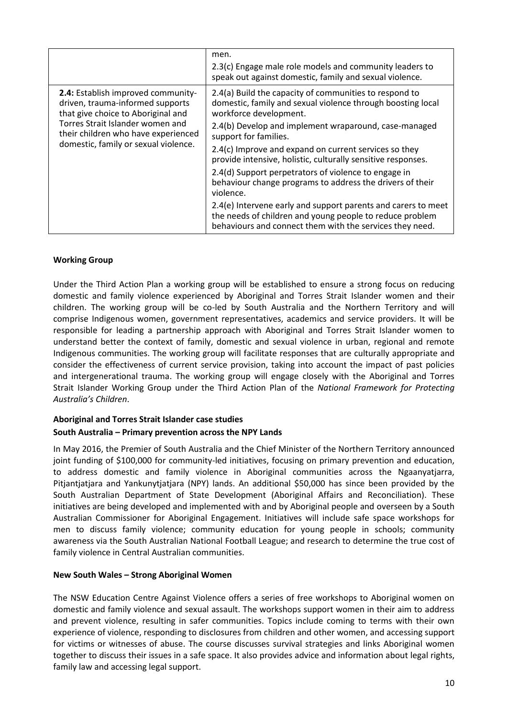|                                                                                                                                                                                                                                 | men.<br>2.3(c) Engage male role models and community leaders to<br>speak out against domestic, family and sexual violence.                                                            |
|---------------------------------------------------------------------------------------------------------------------------------------------------------------------------------------------------------------------------------|---------------------------------------------------------------------------------------------------------------------------------------------------------------------------------------|
| 2.4: Establish improved community-<br>driven, trauma-informed supports<br>that give choice to Aboriginal and<br>Torres Strait Islander women and<br>their children who have experienced<br>domestic, family or sexual violence. | 2.4(a) Build the capacity of communities to respond to<br>domestic, family and sexual violence through boosting local<br>workforce development.                                       |
|                                                                                                                                                                                                                                 | 2.4(b) Develop and implement wraparound, case-managed<br>support for families.                                                                                                        |
|                                                                                                                                                                                                                                 | 2.4(c) Improve and expand on current services so they<br>provide intensive, holistic, culturally sensitive responses.                                                                 |
|                                                                                                                                                                                                                                 | 2.4(d) Support perpetrators of violence to engage in<br>behaviour change programs to address the drivers of their<br>violence.                                                        |
|                                                                                                                                                                                                                                 | 2.4(e) Intervene early and support parents and carers to meet<br>the needs of children and young people to reduce problem<br>behaviours and connect them with the services they need. |

### **Working Group**

Under the Third Action Plan a working group will be established to ensure a strong focus on reducing domestic and family violence experienced by Aboriginal and Torres Strait Islander women and their children. The working group will be co-led by South Australia and the Northern Territory and will comprise Indigenous women, government representatives, academics and service providers. It will be responsible for leading a partnership approach with Aboriginal and Torres Strait Islander women to understand better the context of family, domestic and sexual violence in urban, regional and remote Indigenous communities. The working group will facilitate responses that are culturally appropriate and consider the effectiveness of current service provision, taking into account the impact of past policies and intergenerational trauma. The working group will engage closely with the Aboriginal and Torres Strait Islander Working Group under the Third Action Plan of the *National Framework for Protecting Australia's Children*.

## **Aboriginal and Torres Strait Islander case studies**

## **South Australia – Primary prevention across the NPY Lands**

In May 2016, the Premier of South Australia and the Chief Minister of the Northern Territory announced joint funding of \$100,000 for community-led initiatives, focusing on primary prevention and education, to address domestic and family violence in Aboriginal communities across the Ngaanyatjarra, Pitjantjatjara and Yankunytjatjara (NPY) lands. An additional \$50,000 has since been provided by the South Australian Department of State Development (Aboriginal Affairs and Reconciliation). These initiatives are being developed and implemented with and by Aboriginal people and overseen by a South Australian Commissioner for Aboriginal Engagement. Initiatives will include safe space workshops for men to discuss family violence; community education for young people in schools; community awareness via the South Australian National Football League; and research to determine the true cost of family violence in Central Australian communities.

#### **New South Wales – Strong Aboriginal Women**

The NSW Education Centre Against Violence offers a series of free workshops to Aboriginal women on domestic and family violence and sexual assault. The workshops support women in their aim to address and prevent violence, resulting in safer communities. Topics include coming to terms with their own experience of violence, responding to disclosures from children and other women, and accessing support for victims or witnesses of abuse. The course discusses survival strategies and links Aboriginal women together to discuss their issues in a safe space. It also provides advice and information about legal rights, family law and accessing legal support.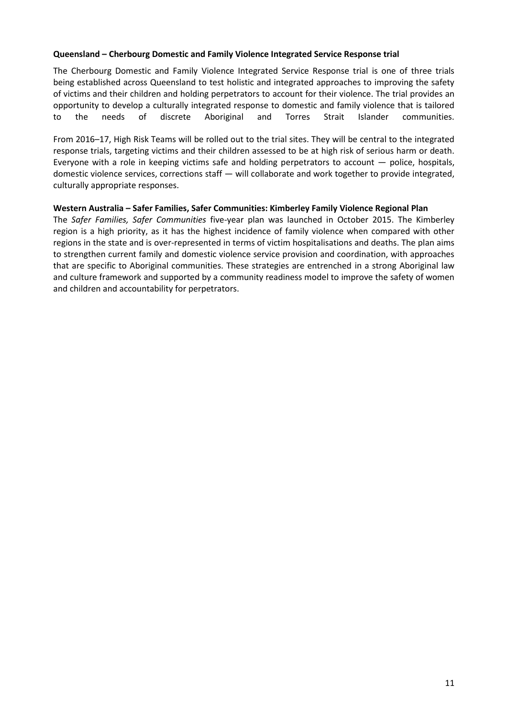### **Queensland – Cherbourg Domestic and Family Violence Integrated Service Response trial**

The Cherbourg Domestic and Family Violence Integrated Service Response trial is one of three trials being established across Queensland to test holistic and integrated approaches to improving the safety of victims and their children and holding perpetrators to account for their violence. The trial provides an opportunity to develop a culturally integrated response to domestic and family violence that is tailored to the needs of discrete Aboriginal and Torres Strait Islander communities.

From 2016–17, High Risk Teams will be rolled out to the trial sites. They will be central to the integrated response trials, targeting victims and their children assessed to be at high risk of serious harm or death. Everyone with a role in keeping victims safe and holding perpetrators to account — police, hospitals, domestic violence services, corrections staff — will collaborate and work together to provide integrated, culturally appropriate responses.

### **Western Australia – Safer Families, Safer Communities: Kimberley Family Violence Regional Plan**

The *Safer Families, Safer Communities* five-year plan was launched in October 2015. The Kimberley region is a high priority, as it has the highest incidence of family violence when compared with other regions in the state and is over-represented in terms of victim hospitalisations and deaths. The plan aims to strengthen current family and domestic violence service provision and coordination, with approaches that are specific to Aboriginal communities. These strategies are entrenched in a strong Aboriginal law and culture framework and supported by a community readiness model to improve the safety of women and children and accountability for perpetrators.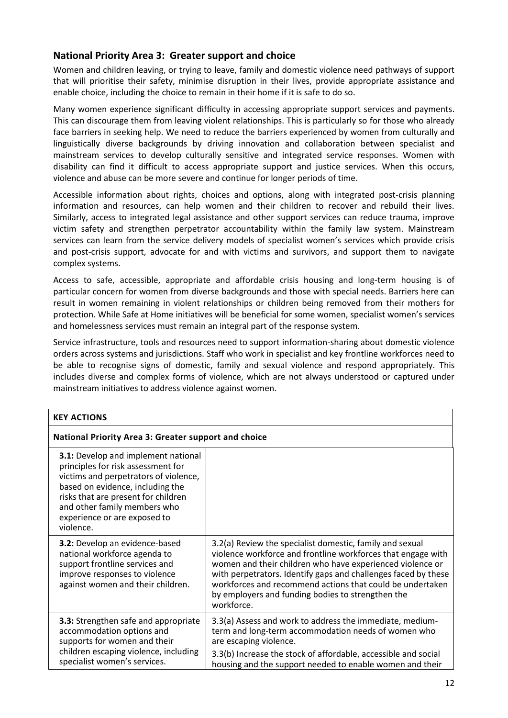## **National Priority Area 3: Greater support and choice**

Women and children leaving, or trying to leave, family and domestic violence need pathways of support that will prioritise their safety, minimise disruption in their lives, provide appropriate assistance and enable choice, including the choice to remain in their home if it is safe to do so.

Many women experience significant difficulty in accessing appropriate support services and payments. This can discourage them from leaving violent relationships. This is particularly so for those who already face barriers in seeking help. We need to reduce the barriers experienced by women from culturally and linguistically diverse backgrounds by driving innovation and collaboration between specialist and mainstream services to develop culturally sensitive and integrated service responses. Women with disability can find it difficult to access appropriate support and justice services. When this occurs, violence and abuse can be more severe and continue for longer periods of time.

Accessible information about rights, choices and options, along with integrated post-crisis planning information and resources, can help women and their children to recover and rebuild their lives. Similarly, access to integrated legal assistance and other support services can reduce trauma, improve victim safety and strengthen perpetrator accountability within the family law system. Mainstream services can learn from the service delivery models of specialist women's services which provide crisis and post-crisis support, advocate for and with victims and survivors, and support them to navigate complex systems.

Access to safe, accessible, appropriate and affordable crisis housing and long-term housing is of particular concern for women from diverse backgrounds and those with special needs. Barriers here can result in women remaining in violent relationships or children being removed from their mothers for protection. While Safe at Home initiatives will be beneficial for some women, specialist women's services and homelessness services must remain an integral part of the response system.

Service infrastructure, tools and resources need to support information-sharing about domestic violence orders across systems and jurisdictions. Staff who work in specialist and key frontline workforces need to be able to recognise signs of domestic, family and sexual violence and respond appropriately. This includes diverse and complex forms of violence, which are not always understood or captured under mainstream initiatives to address violence against women.

| <b>KEY ACTIONS</b>                                                                                                                                                                                                                                                                |                                                                                                                                                                                                                                                                                                                                                                                         |
|-----------------------------------------------------------------------------------------------------------------------------------------------------------------------------------------------------------------------------------------------------------------------------------|-----------------------------------------------------------------------------------------------------------------------------------------------------------------------------------------------------------------------------------------------------------------------------------------------------------------------------------------------------------------------------------------|
| National Priority Area 3: Greater support and choice                                                                                                                                                                                                                              |                                                                                                                                                                                                                                                                                                                                                                                         |
| <b>3.1:</b> Develop and implement national<br>principles for risk assessment for<br>victims and perpetrators of violence,<br>based on evidence, including the<br>risks that are present for children<br>and other family members who<br>experience or are exposed to<br>violence. |                                                                                                                                                                                                                                                                                                                                                                                         |
| <b>3.2:</b> Develop an evidence-based<br>national workforce agenda to<br>support frontline services and<br>improve responses to violence<br>against women and their children.                                                                                                     | 3.2(a) Review the specialist domestic, family and sexual<br>violence workforce and frontline workforces that engage with<br>women and their children who have experienced violence or<br>with perpetrators. Identify gaps and challenges faced by these<br>workforces and recommend actions that could be undertaken<br>by employers and funding bodies to strengthen the<br>workforce. |
| <b>3.3:</b> Strengthen safe and appropriate<br>accommodation options and<br>supports for women and their<br>children escaping violence, including<br>specialist women's services.                                                                                                 | 3.3(a) Assess and work to address the immediate, medium-<br>term and long-term accommodation needs of women who<br>are escaping violence.<br>3.3(b) Increase the stock of affordable, accessible and social<br>housing and the support needed to enable women and their                                                                                                                 |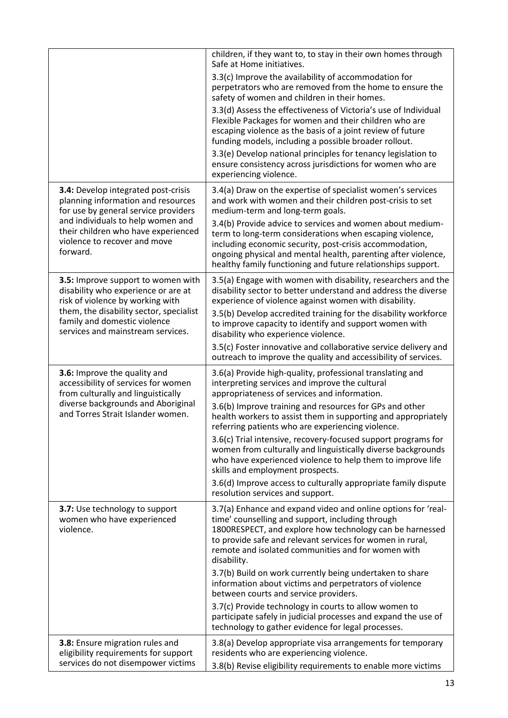|                                                                                                                      | children, if they want to, to stay in their own homes through<br>Safe at Home initiatives.                                                                                                                                                                                                                        |
|----------------------------------------------------------------------------------------------------------------------|-------------------------------------------------------------------------------------------------------------------------------------------------------------------------------------------------------------------------------------------------------------------------------------------------------------------|
|                                                                                                                      | 3.3(c) Improve the availability of accommodation for<br>perpetrators who are removed from the home to ensure the<br>safety of women and children in their homes.                                                                                                                                                  |
|                                                                                                                      | 3.3(d) Assess the effectiveness of Victoria's use of Individual<br>Flexible Packages for women and their children who are<br>escaping violence as the basis of a joint review of future<br>funding models, including a possible broader rollout.                                                                  |
|                                                                                                                      | 3.3(e) Develop national principles for tenancy legislation to<br>ensure consistency across jurisdictions for women who are<br>experiencing violence.                                                                                                                                                              |
| 3.4: Develop integrated post-crisis<br>planning information and resources<br>for use by general service providers    | 3.4(a) Draw on the expertise of specialist women's services<br>and work with women and their children post-crisis to set<br>medium-term and long-term goals.                                                                                                                                                      |
| and individuals to help women and<br>their children who have experienced<br>violence to recover and move<br>forward. | 3.4(b) Provide advice to services and women about medium-<br>term to long-term considerations when escaping violence,<br>including economic security, post-crisis accommodation,<br>ongoing physical and mental health, parenting after violence,<br>healthy family functioning and future relationships support. |
| 3.5: Improve support to women with<br>disability who experience or are at<br>risk of violence by working with        | 3.5(a) Engage with women with disability, researchers and the<br>disability sector to better understand and address the diverse<br>experience of violence against women with disability.                                                                                                                          |
| them, the disability sector, specialist<br>family and domestic violence<br>services and mainstream services.         | 3.5(b) Develop accredited training for the disability workforce<br>to improve capacity to identify and support women with<br>disability who experience violence.                                                                                                                                                  |
|                                                                                                                      | 3.5(c) Foster innovative and collaborative service delivery and<br>outreach to improve the quality and accessibility of services.                                                                                                                                                                                 |
| 3.6: Improve the quality and<br>accessibility of services for women<br>from culturally and linguistically            | 3.6(a) Provide high-quality, professional translating and<br>interpreting services and improve the cultural<br>appropriateness of services and information.                                                                                                                                                       |
| diverse backgrounds and Aboriginal<br>and Torres Strait Islander women.                                              | 3.6(b) Improve training and resources for GPs and other<br>health workers to assist them in supporting and appropriately<br>referring patients who are experiencing violence.                                                                                                                                     |
|                                                                                                                      | 3.6(c) Trial intensive, recovery-focused support programs for<br>women from culturally and linguistically diverse backgrounds<br>who have experienced violence to help them to improve life<br>skills and employment prospects.                                                                                   |
|                                                                                                                      | 3.6(d) Improve access to culturally appropriate family dispute<br>resolution services and support.                                                                                                                                                                                                                |
| 3.7: Use technology to support<br>women who have experienced<br>violence.                                            | 3.7(a) Enhance and expand video and online options for 'real-<br>time' counselling and support, including through<br>1800RESPECT, and explore how technology can be harnessed<br>to provide safe and relevant services for women in rural,<br>remote and isolated communities and for women with<br>disability.   |
|                                                                                                                      | 3.7(b) Build on work currently being undertaken to share<br>information about victims and perpetrators of violence<br>between courts and service providers.                                                                                                                                                       |
|                                                                                                                      | 3.7(c) Provide technology in courts to allow women to<br>participate safely in judicial processes and expand the use of<br>technology to gather evidence for legal processes.                                                                                                                                     |
| 3.8: Ensure migration rules and<br>eligibility requirements for support                                              | 3.8(a) Develop appropriate visa arrangements for temporary<br>residents who are experiencing violence.                                                                                                                                                                                                            |
| services do not disempower victims                                                                                   | 3.8(b) Revise eligibility requirements to enable more victims                                                                                                                                                                                                                                                     |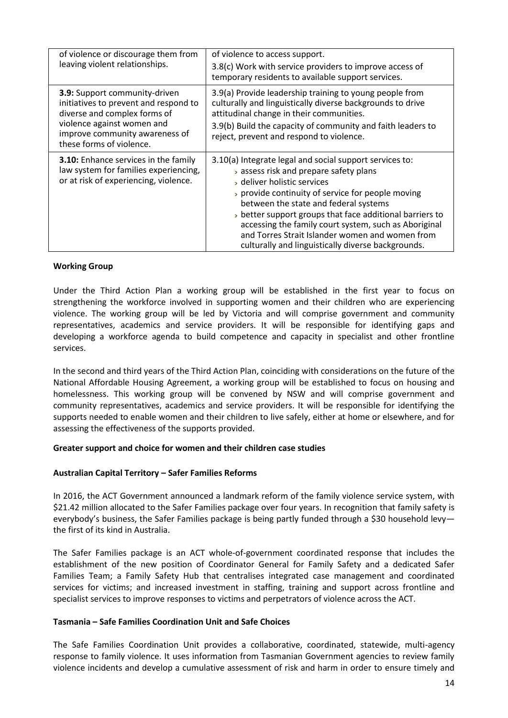| of violence or discourage them from<br>leaving violent relationships.                                                                                                                              | of violence to access support.<br>3.8(c) Work with service providers to improve access of<br>temporary residents to available support services.                                                                                                                                                                                                                                                                                                            |
|----------------------------------------------------------------------------------------------------------------------------------------------------------------------------------------------------|------------------------------------------------------------------------------------------------------------------------------------------------------------------------------------------------------------------------------------------------------------------------------------------------------------------------------------------------------------------------------------------------------------------------------------------------------------|
| 3.9: Support community-driven<br>initiatives to prevent and respond to<br>diverse and complex forms of<br>violence against women and<br>improve community awareness of<br>these forms of violence. | 3.9(a) Provide leadership training to young people from<br>culturally and linguistically diverse backgrounds to drive<br>attitudinal change in their communities.<br>3.9(b) Build the capacity of community and faith leaders to<br>reject, prevent and respond to violence.                                                                                                                                                                               |
| <b>3.10:</b> Enhance services in the family<br>law system for families experiencing,<br>or at risk of experiencing, violence.                                                                      | 3.10(a) Integrate legal and social support services to:<br>> assess risk and prepare safety plans<br>> deliver holistic services<br>> provide continuity of service for people moving<br>between the state and federal systems<br>better support groups that face additional barriers to<br>accessing the family court system, such as Aboriginal<br>and Torres Strait Islander women and women from<br>culturally and linguistically diverse backgrounds. |

#### **Working Group**

Under the Third Action Plan a working group will be established in the first year to focus on strengthening the workforce involved in supporting women and their children who are experiencing violence. The working group will be led by Victoria and will comprise government and community representatives, academics and service providers. It will be responsible for identifying gaps and developing a workforce agenda to build competence and capacity in specialist and other frontline services.

In the second and third years of the Third Action Plan, coinciding with considerations on the future of the National Affordable Housing Agreement, a working group will be established to focus on housing and homelessness. This working group will be convened by NSW and will comprise government and community representatives, academics and service providers. It will be responsible for identifying the supports needed to enable women and their children to live safely, either at home or elsewhere, and for assessing the effectiveness of the supports provided.

#### **Greater support and choice for women and their children case studies**

#### **Australian Capital Territory – Safer Families Reforms**

In 2016, the ACT Government announced a landmark reform of the family violence service system, with \$21.42 million allocated to the Safer Families package over four years. In recognition that family safety is everybody's business, the Safer Families package is being partly funded through a \$30 household levy the first of its kind in Australia.

The Safer Families package is an ACT whole-of-government coordinated response that includes the establishment of the new position of Coordinator General for Family Safety and a dedicated Safer Families Team; a Family Safety Hub that centralises integrated case management and coordinated services for victims; and increased investment in staffing, training and support across frontline and specialist services to improve responses to victims and perpetrators of violence across the ACT.

#### **Tasmania – Safe Families Coordination Unit and Safe Choices**

The Safe Families Coordination Unit provides a collaborative, coordinated, statewide, multi-agency response to family violence. It uses information from Tasmanian Government agencies to review family violence incidents and develop a cumulative assessment of risk and harm in order to ensure timely and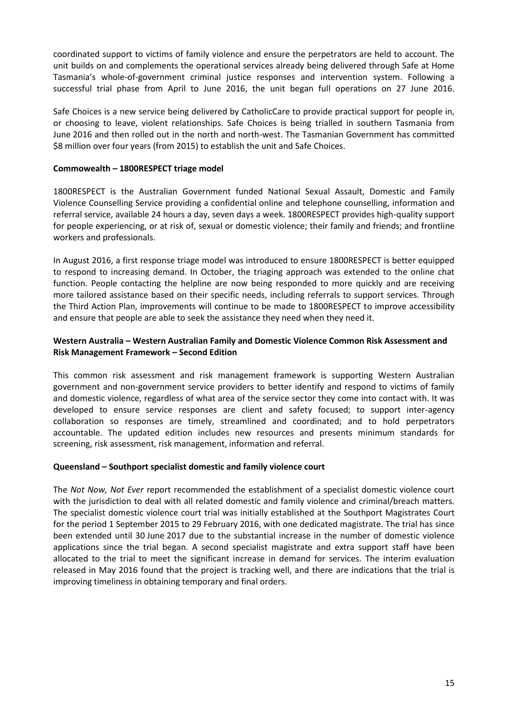coordinated support to victims of family violence and ensure the perpetrators are held to account. The unit builds on and complements the operational services already being delivered through Safe at Home Tasmania's whole-of-government criminal justice responses and intervention system. Following a successful trial phase from April to June 2016, the unit began full operations on 27 June 2016.

Safe Choices is a new service being delivered by CatholicCare to provide practical support for people in, or choosing to leave, violent relationships. Safe Choices is being trialled in southern Tasmania from June 2016 and then rolled out in the north and north-west. The Tasmanian Government has committed \$8 million over four years (from 2015) to establish the unit and Safe Choices.

### **Commowealth – 1800RESPECT triage model**

1800RESPECT is the Australian Government funded National Sexual Assault, Domestic and Family Violence Counselling Service providing a confidential online and telephone counselling, information and referral service, available 24 hours a day, seven days a week. 1800RESPECT provides high-quality support for people experiencing, or at risk of, sexual or domestic violence; their family and friends; and frontline workers and professionals.

In August 2016, a first response triage model was introduced to ensure 1800RESPECT is better equipped to respond to increasing demand. In October, the triaging approach was extended to the online chat function. People contacting the helpline are now being responded to more quickly and are receiving more tailored assistance based on their specific needs, including referrals to support services. Through the Third Action Plan, improvements will continue to be made to 1800RESPECT to improve accessibility and ensure that people are able to seek the assistance they need when they need it.

### **Western Australia – Western Australian Family and Domestic Violence Common Risk Assessment and Risk Management Framework – Second Edition**

This common risk assessment and risk management framework is supporting Western Australian government and non-government service providers to better identify and respond to victims of family and domestic violence, regardless of what area of the service sector they come into contact with. It was developed to ensure service responses are client and safety focused; to support inter-agency collaboration so responses are timely, streamlined and coordinated; and to hold perpetrators accountable. The updated edition includes new resources and presents minimum standards for screening, risk assessment, risk management, information and referral.

## **Queensland – Southport specialist domestic and family violence court**

The *Not Now, Not Ever* report recommended the establishment of a specialist domestic violence court with the jurisdiction to deal with all related domestic and family violence and criminal/breach matters. The specialist domestic violence court trial was initially established at the Southport Magistrates Court for the period 1 September 2015 to 29 February 2016, with one dedicated magistrate. The trial has since been extended until 30 June 2017 due to the substantial increase in the number of domestic violence applications since the trial began. A second specialist magistrate and extra support staff have been allocated to the trial to meet the significant increase in demand for services. The interim evaluation released in May 2016 found that the project is tracking well, and there are indications that the trial is improving timeliness in obtaining temporary and final orders.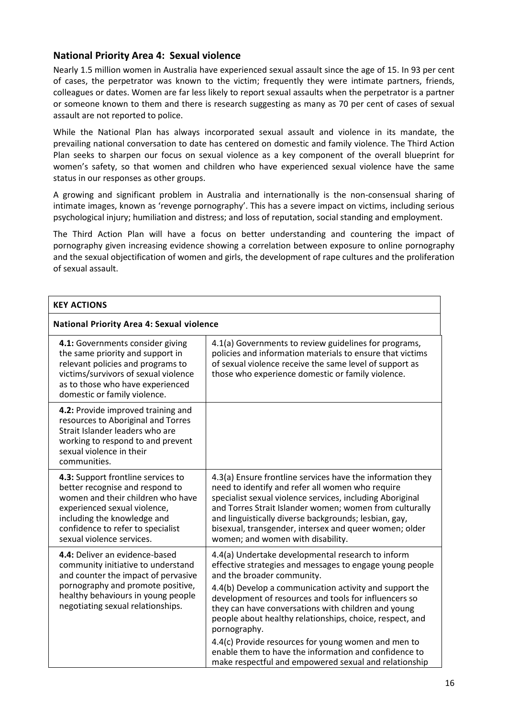## **National Priority Area 4: Sexual violence**

Nearly 1.5 million women in Australia have experienced sexual assault since the age of 15. In 93 per cent of cases, the perpetrator was known to the victim; frequently they were intimate partners, friends, colleagues or dates. Women are far less likely to report sexual assaults when the perpetrator is a partner or someone known to them and there is research suggesting as many as 70 per cent of cases of sexual assault are not reported to police.

While the National Plan has always incorporated sexual assault and violence in its mandate, the prevailing national conversation to date has centered on domestic and family violence. The Third Action Plan seeks to sharpen our focus on sexual violence as a key component of the overall blueprint for women's safety, so that women and children who have experienced sexual violence have the same status in our responses as other groups.

A growing and significant problem in Australia and internationally is the non-consensual sharing of intimate images, known as 'revenge pornography'. This has a severe impact on victims, including serious psychological injury; humiliation and distress; and loss of reputation, social standing and employment.

The Third Action Plan will have a focus on better understanding and countering the impact of pornography given increasing evidence showing a correlation between exposure to online pornography and the sexual objectification of women and girls, the development of rape cultures and the proliferation of sexual assault.

| <b>KEY ACTIONS</b>                                                                                                                                                                                                                          |                                                                                                                                                                                                                                                                                                                                                                                                    |
|---------------------------------------------------------------------------------------------------------------------------------------------------------------------------------------------------------------------------------------------|----------------------------------------------------------------------------------------------------------------------------------------------------------------------------------------------------------------------------------------------------------------------------------------------------------------------------------------------------------------------------------------------------|
| <b>National Priority Area 4: Sexual violence</b>                                                                                                                                                                                            |                                                                                                                                                                                                                                                                                                                                                                                                    |
| 4.1: Governments consider giving<br>the same priority and support in<br>relevant policies and programs to<br>victims/survivors of sexual violence<br>as to those who have experienced<br>domestic or family violence.                       | 4.1(a) Governments to review guidelines for programs,<br>policies and information materials to ensure that victims<br>of sexual violence receive the same level of support as<br>those who experience domestic or family violence.                                                                                                                                                                 |
| 4.2: Provide improved training and<br>resources to Aboriginal and Torres<br>Strait Islander leaders who are<br>working to respond to and prevent<br>sexual violence in their<br>communities.                                                |                                                                                                                                                                                                                                                                                                                                                                                                    |
| 4.3: Support frontline services to<br>better recognise and respond to<br>women and their children who have<br>experienced sexual violence,<br>including the knowledge and<br>confidence to refer to specialist<br>sexual violence services. | 4.3(a) Ensure frontline services have the information they<br>need to identify and refer all women who require<br>specialist sexual violence services, including Aboriginal<br>and Torres Strait Islander women; women from culturally<br>and linguistically diverse backgrounds; lesbian, gay,<br>bisexual, transgender, intersex and queer women; older<br>women; and women with disability.     |
| 4.4: Deliver an evidence-based<br>community initiative to understand<br>and counter the impact of pervasive<br>pornography and promote positive,<br>healthy behaviours in young people<br>negotiating sexual relationships.                 | 4.4(a) Undertake developmental research to inform<br>effective strategies and messages to engage young people<br>and the broader community.<br>4.4(b) Develop a communication activity and support the<br>development of resources and tools for influencers so<br>they can have conversations with children and young<br>people about healthy relationships, choice, respect, and<br>pornography. |
|                                                                                                                                                                                                                                             | 4.4(c) Provide resources for young women and men to<br>enable them to have the information and confidence to<br>make respectful and empowered sexual and relationship                                                                                                                                                                                                                              |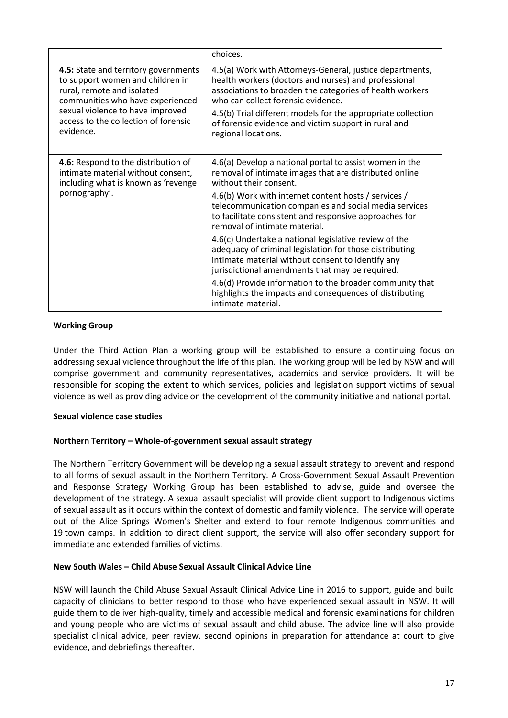|                                                                                                                                                                                                                                     | choices.                                                                                                                                                                                                                                                                                                                                                                                                                                                                                                                                                                                                                                                                                                                         |
|-------------------------------------------------------------------------------------------------------------------------------------------------------------------------------------------------------------------------------------|----------------------------------------------------------------------------------------------------------------------------------------------------------------------------------------------------------------------------------------------------------------------------------------------------------------------------------------------------------------------------------------------------------------------------------------------------------------------------------------------------------------------------------------------------------------------------------------------------------------------------------------------------------------------------------------------------------------------------------|
| 4.5: State and territory governments<br>to support women and children in<br>rural, remote and isolated<br>communities who have experienced<br>sexual violence to have improved<br>access to the collection of forensic<br>evidence. | 4.5(a) Work with Attorneys-General, justice departments,<br>health workers (doctors and nurses) and professional<br>associations to broaden the categories of health workers<br>who can collect forensic evidence.<br>4.5(b) Trial different models for the appropriate collection<br>of forensic evidence and victim support in rural and<br>regional locations.                                                                                                                                                                                                                                                                                                                                                                |
| 4.6: Respond to the distribution of<br>intimate material without consent,<br>including what is known as 'revenge<br>pornography'.                                                                                                   | 4.6(a) Develop a national portal to assist women in the<br>removal of intimate images that are distributed online<br>without their consent.<br>4.6(b) Work with internet content hosts / services /<br>telecommunication companies and social media services<br>to facilitate consistent and responsive approaches for<br>removal of intimate material.<br>4.6(c) Undertake a national legislative review of the<br>adequacy of criminal legislation for those distributing<br>intimate material without consent to identify any<br>jurisdictional amendments that may be required.<br>4.6(d) Provide information to the broader community that<br>highlights the impacts and consequences of distributing<br>intimate material. |

### **Working Group**

Under the Third Action Plan a working group will be established to ensure a continuing focus on addressing sexual violence throughout the life of this plan. The working group will be led by NSW and will comprise government and community representatives, academics and service providers. It will be responsible for scoping the extent to which services, policies and legislation support victims of sexual violence as well as providing advice on the development of the community initiative and national portal.

#### **Sexual violence case studies**

#### **Northern Territory – Whole-of-government sexual assault strategy**

The Northern Territory Government will be developing a sexual assault strategy to prevent and respond to all forms of sexual assault in the Northern Territory. A Cross-Government Sexual Assault Prevention and Response Strategy Working Group has been established to advise, guide and oversee the development of the strategy. A sexual assault specialist will provide client support to Indigenous victims of sexual assault as it occurs within the context of domestic and family violence. The service will operate out of the Alice Springs Women's Shelter and extend to four remote Indigenous communities and 19 town camps. In addition to direct client support, the service will also offer secondary support for immediate and extended families of victims.

#### **New South Wales – Child Abuse Sexual Assault Clinical Advice Line**

NSW will launch the Child Abuse Sexual Assault Clinical Advice Line in 2016 to support, guide and build capacity of clinicians to better respond to those who have experienced sexual assault in NSW. It will guide them to deliver high-quality, timely and accessible medical and forensic examinations for children and young people who are victims of sexual assault and child abuse. The advice line will also provide specialist clinical advice, peer review, second opinions in preparation for attendance at court to give evidence, and debriefings thereafter.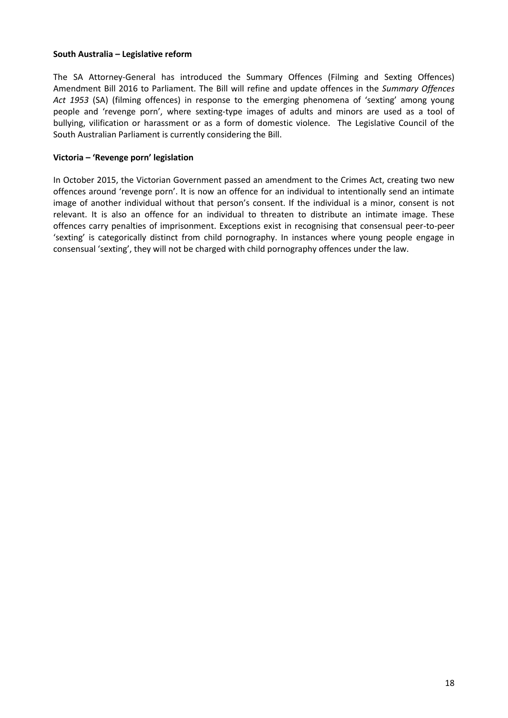### **South Australia – Legislative reform**

The SA Attorney-General has introduced the Summary Offences (Filming and Sexting Offences) Amendment Bill 2016 to Parliament. The Bill will refine and update offences in the *Summary Offences Act 1953* (SA) (filming offences) in response to the emerging phenomena of 'sexting' among young people and 'revenge porn', where sexting-type images of adults and minors are used as a tool of bullying, vilification or harassment or as a form of domestic violence. The Legislative Council of the South Australian Parliament is currently considering the Bill.

### **Victoria – 'Revenge porn' legislation**

In October 2015, the Victorian Government passed an amendment to the Crimes Act, creating two new offences around 'revenge porn'. It is now an offence for an individual to intentionally send an intimate image of another individual without that person's consent. If the individual is a minor, consent is not relevant. It is also an offence for an individual to threaten to distribute an intimate image. These offences carry penalties of imprisonment. Exceptions exist in recognising that consensual peer-to-peer 'sexting' is categorically distinct from child pornography. In instances where young people engage in consensual 'sexting', they will not be charged with child pornography offences under the law.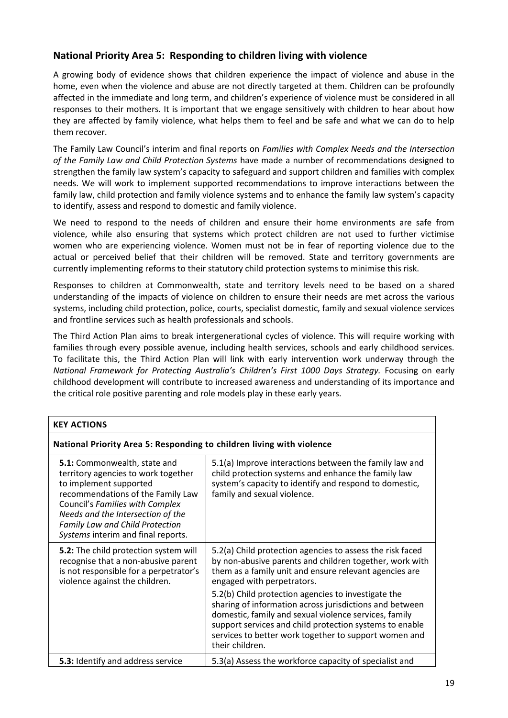## **National Priority Area 5: Responding to children living with violence**

A growing body of evidence shows that children experience the impact of violence and abuse in the home, even when the violence and abuse are not directly targeted at them. Children can be profoundly affected in the immediate and long term, and children's experience of violence must be considered in all responses to their mothers. It is important that we engage sensitively with children to hear about how they are affected by family violence, what helps them to feel and be safe and what we can do to help them recover.

The Family Law Council's interim and final reports on *Families with Complex Needs and the Intersection of the Family Law and Child Protection Systems* have made a number of recommendations designed to strengthen the family law system's capacity to safeguard and support children and families with complex needs. We will work to implement supported recommendations to improve interactions between the family law, child protection and family violence systems and to enhance the family law system's capacity to identify, assess and respond to domestic and family violence.

We need to respond to the needs of children and ensure their home environments are safe from violence, while also ensuring that systems which protect children are not used to further victimise women who are experiencing violence. Women must not be in fear of reporting violence due to the actual or perceived belief that their children will be removed. State and territory governments are currently implementing reforms to their statutory child protection systems to minimise this risk.

Responses to children at Commonwealth, state and territory levels need to be based on a shared understanding of the impacts of violence on children to ensure their needs are met across the various systems, including child protection, police, courts, specialist domestic, family and sexual violence services and frontline services such as health professionals and schools.

The Third Action Plan aims to break intergenerational cycles of violence. This will require working with families through every possible avenue, including health services, schools and early childhood services. To facilitate this, the Third Action Plan will link with early intervention work underway through the *National Framework for Protecting Australia's Children's First 1000 Days Strategy.* Focusing on early childhood development will contribute to increased awareness and understanding of its importance and the critical role positive parenting and role models play in these early years.

| National Priority Area 5: Responding to children living with violence                                                                                                                                                                                                               |                                                                                                                                                                                                                                                                     |
|-------------------------------------------------------------------------------------------------------------------------------------------------------------------------------------------------------------------------------------------------------------------------------------|---------------------------------------------------------------------------------------------------------------------------------------------------------------------------------------------------------------------------------------------------------------------|
| 5.1: Commonwealth, state and<br>territory agencies to work together<br>to implement supported<br>recommendations of the Family Law<br>Council's Families with Complex<br>Needs and the Intersection of the<br>Family Law and Child Protection<br>Systems interim and final reports. | 5.1(a) Improve interactions between the family law and<br>child protection systems and enhance the family law<br>system's capacity to identify and respond to domestic,<br>family and sexual violence.                                                              |
| 5.2: The child protection system will<br>recognise that a non-abusive parent<br>is not responsible for a perpetrator's<br>violence against the children.                                                                                                                            | 5.2(a) Child protection agencies to assess the risk faced<br>by non-abusive parents and children together, work with<br>them as a family unit and ensure relevant agencies are<br>engaged with perpetrators.<br>5.2(b) Child protection agencies to investigate the |
|                                                                                                                                                                                                                                                                                     | sharing of information across jurisdictions and between<br>domestic, family and sexual violence services, family<br>support services and child protection systems to enable<br>services to better work together to support women and<br>their children.             |
| 5.3: Identify and address service                                                                                                                                                                                                                                                   | 5.3(a) Assess the workforce capacity of specialist and                                                                                                                                                                                                              |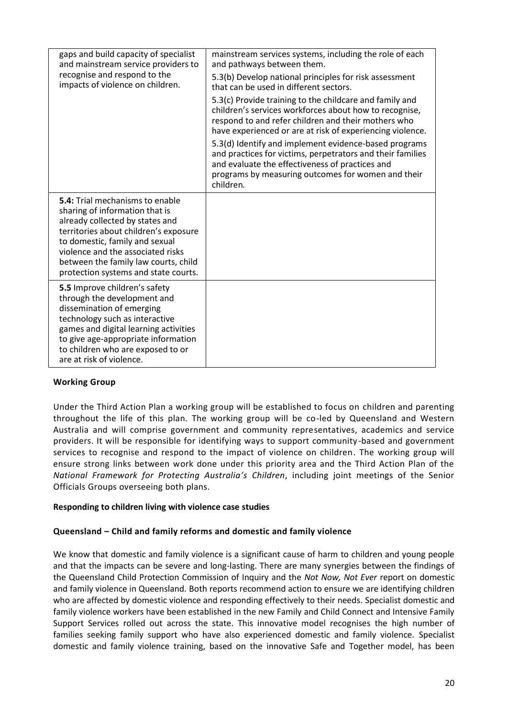| gaps and build capacity of specialist<br>and mainstream service providers to<br>recognise and respond to the                                                                                                                                                                                                | mainstream services systems, including the role of each<br>and pathways between them.<br>5.3(b) Develop national principles for risk assessment                                                                                           |
|-------------------------------------------------------------------------------------------------------------------------------------------------------------------------------------------------------------------------------------------------------------------------------------------------------------|-------------------------------------------------------------------------------------------------------------------------------------------------------------------------------------------------------------------------------------------|
| impacts of violence on children.                                                                                                                                                                                                                                                                            | that can be used in different sectors.                                                                                                                                                                                                    |
|                                                                                                                                                                                                                                                                                                             | 5.3(c) Provide training to the childcare and family and<br>children's services workforces about how to recognise,<br>respond to and refer children and their mothers who<br>have experienced or are at risk of experiencing violence.     |
|                                                                                                                                                                                                                                                                                                             | 5.3(d) Identify and implement evidence-based programs<br>and practices for victims, perpetrators and their families<br>and evaluate the effectiveness of practices and<br>programs by measuring outcomes for women and their<br>children. |
| <b>5.4:</b> Trial mechanisms to enable<br>sharing of information that is<br>already collected by states and<br>territories about children's exposure<br>to domestic, family and sexual<br>violence and the associated risks<br>between the family law courts, child<br>protection systems and state courts. |                                                                                                                                                                                                                                           |
| 5.5 Improve children's safety<br>through the development and<br>dissemination of emerging<br>technology such as interactive<br>games and digital learning activities<br>to give age-appropriate information<br>to children who are exposed to or<br>are at risk of violence.                                |                                                                                                                                                                                                                                           |

## **Working Group**

Under the Third Action Plan a working group will be established to focus on children and parenting throughout the life of this plan. The working group will be co-led by Queensland and Western Australia and will comprise government and community representatives, academics and service providers. It will be responsible for identifying ways to support community-based and government services to recognise and respond to the impact of violence on children. The working group will ensure strong links between work done under this priority area and the Third Action Plan of the *National Framework for Protecting Australia's Children*, including joint meetings of the Senior Officials Groups overseeing both plans.

#### **Responding to children living with violence case studies**

#### **Queensland – Child and family reforms and domestic and family violence**

We know that domestic and family violence is a significant cause of harm to children and young people and that the impacts can be severe and long-lasting. There are many synergies between the findings of the Queensland Child Protection Commission of Inquiry and the *Not Now, Not Ever* report on domestic and family violence in Queensland. Both reports recommend action to ensure we are identifying children who are affected by domestic violence and responding effectively to their needs. Specialist domestic and family violence workers have been established in the new Family and Child Connect and Intensive Family Support Services rolled out across the state. This innovative model recognises the high number of families seeking family support who have also experienced domestic and family violence. Specialist domestic and family violence training, based on the innovative Safe and Together model, has been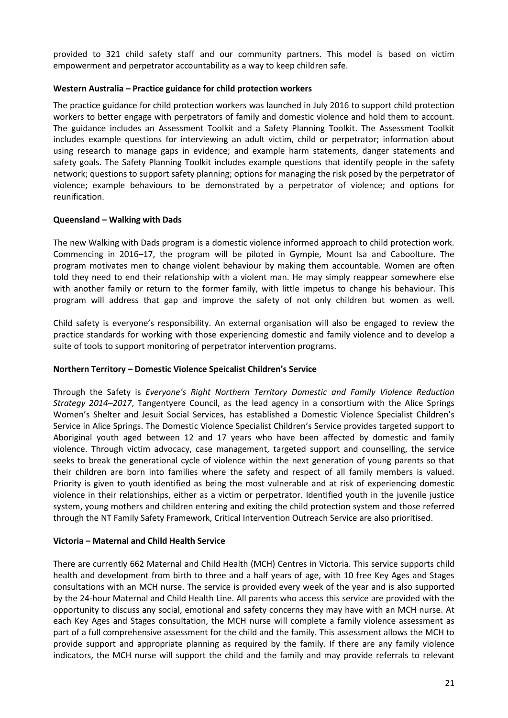provided to 321 child safety staff and our community partners. This model is based on victim empowerment and perpetrator accountability as a way to keep children safe.

### **Western Australia – Practice guidance for child protection workers**

The practice guidance for child protection workers was launched in July 2016 to support child protection workers to better engage with perpetrators of family and domestic violence and hold them to account. The guidance includes an Assessment Toolkit and a Safety Planning Toolkit. The Assessment Toolkit includes example questions for interviewing an adult victim, child or perpetrator; information about using research to manage gaps in evidence; and example harm statements, danger statements and safety goals. The Safety Planning Toolkit includes example questions that identify people in the safety network; questions to support safety planning; options for managing the risk posed by the perpetrator of violence; example behaviours to be demonstrated by a perpetrator of violence; and options for reunification.

### **Queensland – Walking with Dads**

The new Walking with Dads program is a domestic violence informed approach to child protection work. Commencing in 2016–17, the program will be piloted in Gympie, Mount Isa and Caboolture. The program motivates men to change violent behaviour by making them accountable. Women are often told they need to end their relationship with a violent man. He may simply reappear somewhere else with another family or return to the former family, with little impetus to change his behaviour. This program will address that gap and improve the safety of not only children but women as well.

Child safety is everyone's responsibility. An external organisation will also be engaged to review the practice standards for working with those experiencing domestic and family violence and to develop a suite of tools to support monitoring of perpetrator intervention programs.

#### **Northern Territory – Domestic Violence Speicalist Children's Service**

Through the Safety is *Everyone's Right Northern Territory Domestic and Family Violence Reduction Strategy 2014–2017*, Tangentyere Council, as the lead agency in a consortium with the Alice Springs Women's Shelter and Jesuit Social Services, has established a Domestic Violence Specialist Children's Service in Alice Springs. The Domestic Violence Specialist Children's Service provides targeted support to Aboriginal youth aged between 12 and 17 years who have been affected by domestic and family violence. Through victim advocacy, case management, targeted support and counselling, the service seeks to break the generational cycle of violence within the next generation of young parents so that their children are born into families where the safety and respect of all family members is valued. Priority is given to youth identified as being the most vulnerable and at risk of experiencing domestic violence in their relationships, either as a victim or perpetrator. Identified youth in the juvenile justice system, young mothers and children entering and exiting the child protection system and those referred through the NT Family Safety Framework, Critical Intervention Outreach Service are also prioritised.

#### **Victoria – Maternal and Child Health Service**

There are currently 662 Maternal and Child Health (MCH) Centres in Victoria. This service supports child health and development from birth to three and a half years of age, with 10 free Key Ages and Stages consultations with an MCH nurse. The service is provided every week of the year and is also supported by the 24-hour Maternal and Child Health Line. All parents who access this service are provided with the opportunity to discuss any social, emotional and safety concerns they may have with an MCH nurse. At each Key Ages and Stages consultation, the MCH nurse will complete a family violence assessment as part of a full comprehensive assessment for the child and the family. This assessment allows the MCH to provide support and appropriate planning as required by the family. If there are any family violence indicators, the MCH nurse will support the child and the family and may provide referrals to relevant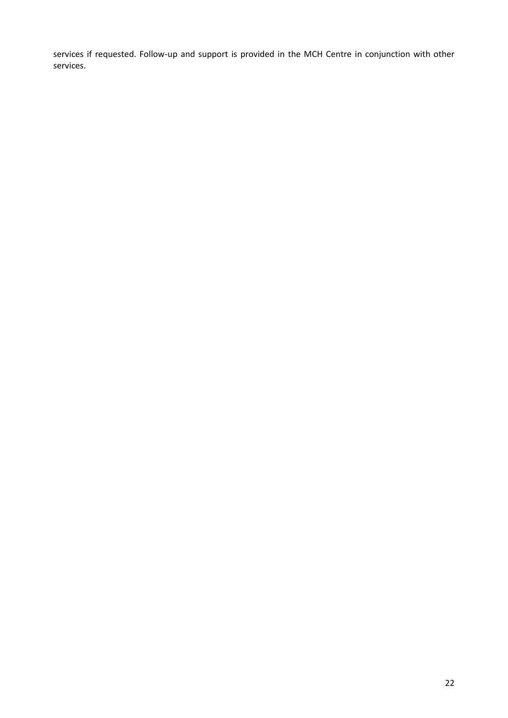services if requested. Follow-up and support is provided in the MCH Centre in conjunction with other services.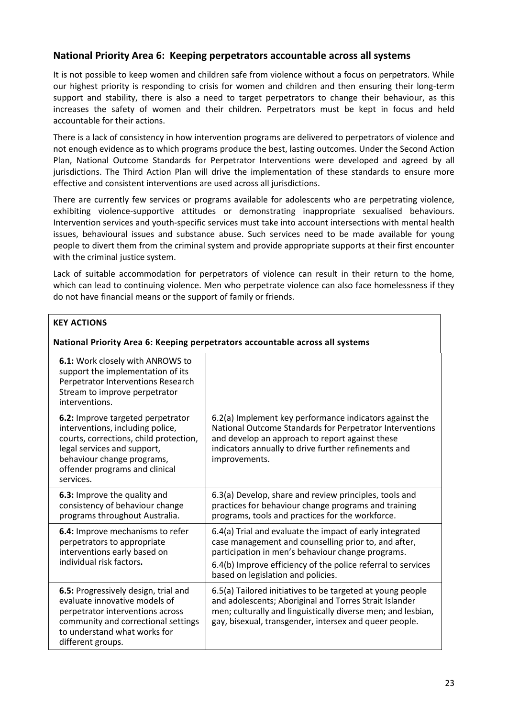## **National Priority Area 6: Keeping perpetrators accountable across all systems**

It is not possible to keep women and children safe from violence without a focus on perpetrators. While our highest priority is responding to crisis for women and children and then ensuring their long-term support and stability, there is also a need to target perpetrators to change their behaviour, as this increases the safety of women and their children. Perpetrators must be kept in focus and held accountable for their actions.

There is a lack of consistency in how intervention programs are delivered to perpetrators of violence and not enough evidence as to which programs produce the best, lasting outcomes. Under the Second Action Plan, National Outcome Standards for Perpetrator Interventions were developed and agreed by all jurisdictions. The Third Action Plan will drive the implementation of these standards to ensure more effective and consistent interventions are used across all jurisdictions.

There are currently few services or programs available for adolescents who are perpetrating violence, exhibiting violence-supportive attitudes or demonstrating inappropriate sexualised behaviours. Intervention services and youth-specific services must take into account intersections with mental health issues, behavioural issues and substance abuse. Such services need to be made available for young people to divert them from the criminal system and provide appropriate supports at their first encounter with the criminal justice system.

Lack of suitable accommodation for perpetrators of violence can result in their return to the home, which can lead to continuing violence. Men who perpetrate violence can also face homelessness if they do not have financial means or the support of family or friends.

| <b>KEY ACTIONS</b>                                                                                                                                                                                                          |                                                                                                                                                                                                                                                                             |
|-----------------------------------------------------------------------------------------------------------------------------------------------------------------------------------------------------------------------------|-----------------------------------------------------------------------------------------------------------------------------------------------------------------------------------------------------------------------------------------------------------------------------|
| National Priority Area 6: Keeping perpetrators accountable across all systems                                                                                                                                               |                                                                                                                                                                                                                                                                             |
| 6.1: Work closely with ANROWS to<br>support the implementation of its<br>Perpetrator Interventions Research<br>Stream to improve perpetrator<br>interventions.                                                              |                                                                                                                                                                                                                                                                             |
| 6.2: Improve targeted perpetrator<br>interventions, including police,<br>courts, corrections, child protection,<br>legal services and support,<br>behaviour change programs,<br>offender programs and clinical<br>services. | 6.2(a) Implement key performance indicators against the<br>National Outcome Standards for Perpetrator Interventions<br>and develop an approach to report against these<br>indicators annually to drive further refinements and<br>improvements.                             |
| 6.3: Improve the quality and<br>consistency of behaviour change<br>programs throughout Australia.                                                                                                                           | 6.3(a) Develop, share and review principles, tools and<br>practices for behaviour change programs and training<br>programs, tools and practices for the workforce.                                                                                                          |
| 6.4: Improve mechanisms to refer<br>perpetrators to appropriate<br>interventions early based on<br>individual risk factors.                                                                                                 | 6.4(a) Trial and evaluate the impact of early integrated<br>case management and counselling prior to, and after,<br>participation in men's behaviour change programs.<br>6.4(b) Improve efficiency of the police referral to services<br>based on legislation and policies. |
| 6.5: Progressively design, trial and<br>evaluate innovative models of<br>perpetrator interventions across<br>community and correctional settings<br>to understand what works for<br>different groups.                       | 6.5(a) Tailored initiatives to be targeted at young people<br>and adolescents; Aboriginal and Torres Strait Islander<br>men; culturally and linguistically diverse men; and lesbian,<br>gay, bisexual, transgender, intersex and queer people.                              |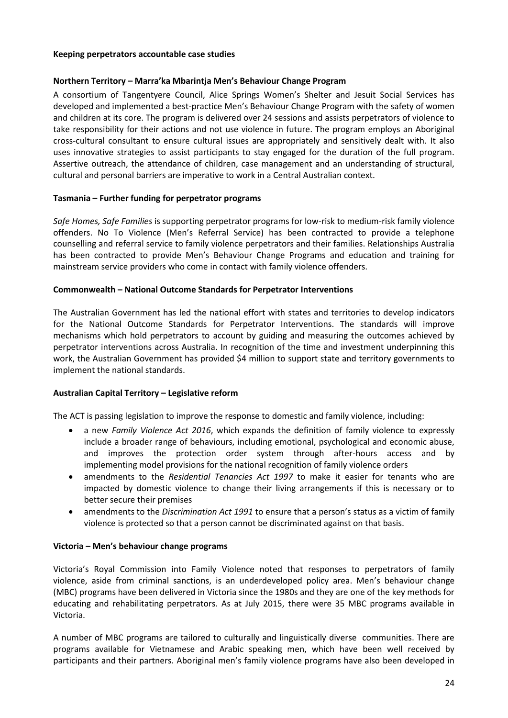#### **Keeping perpetrators accountable case studies**

### **Northern Territory – Marra'ka Mbarintja Men's Behaviour Change Program**

A consortium of Tangentyere Council, Alice Springs Women's Shelter and Jesuit Social Services has developed and implemented a best-practice Men's Behaviour Change Program with the safety of women and children at its core. The program is delivered over 24 sessions and assists perpetrators of violence to take responsibility for their actions and not use violence in future. The program employs an Aboriginal cross-cultural consultant to ensure cultural issues are appropriately and sensitively dealt with. It also uses innovative strategies to assist participants to stay engaged for the duration of the full program. Assertive outreach, the attendance of children, case management and an understanding of structural, cultural and personal barriers are imperative to work in a Central Australian context.

### **Tasmania – Further funding for perpetrator programs**

*Safe Homes, Safe Families* is supporting perpetrator programs for low-risk to medium-risk family violence offenders. No To Violence (Men's Referral Service) has been contracted to provide a telephone counselling and referral service to family violence perpetrators and their families. Relationships Australia has been contracted to provide Men's Behaviour Change Programs and education and training for mainstream service providers who come in contact with family violence offenders.

### **Commonwealth – National Outcome Standards for Perpetrator Interventions**

The Australian Government has led the national effort with states and territories to develop indicators for the National Outcome Standards for Perpetrator Interventions. The standards will improve mechanisms which hold perpetrators to account by guiding and measuring the outcomes achieved by perpetrator interventions across Australia. In recognition of the time and investment underpinning this work, the Australian Government has provided \$4 million to support state and territory governments to implement the national standards.

## **Australian Capital Territory – Legislative reform**

The ACT is passing legislation to improve the response to domestic and family violence, including:

- a new *Family Violence Act 2016*, which expands the definition of family violence to expressly include a broader range of behaviours, including emotional, psychological and economic abuse, and improves the protection order system through after-hours access and by implementing model provisions for the national recognition of family violence orders
- amendments to the *Residential Tenancies Act 1997* to make it easier for tenants who are impacted by domestic violence to change their living arrangements if this is necessary or to better secure their premises
- amendments to the *Discrimination Act 1991* to ensure that a person's status as a victim of family violence is protected so that a person cannot be discriminated against on that basis.

#### **Victoria – Men's behaviour change programs**

Victoria's Royal Commission into Family Violence noted that responses to perpetrators of family violence, aside from criminal sanctions, is an underdeveloped policy area. Men's behaviour change (MBC) programs have been delivered in Victoria since the 1980s and they are one of the key methods for educating and rehabilitating perpetrators. As at July 2015, there were 35 MBC programs available in Victoria.

A number of MBC programs are tailored to culturally and linguistically diverse communities. There are programs available for Vietnamese and Arabic speaking men, which have been well received by participants and their partners. Aboriginal men's family violence programs have also been developed in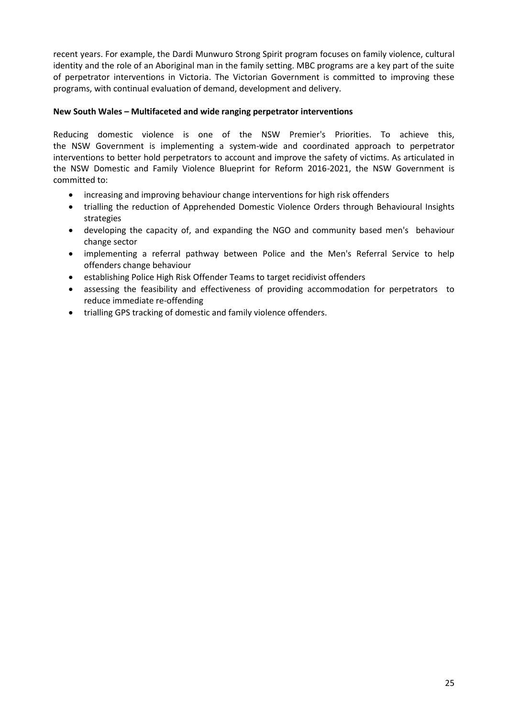recent years. For example, the Dardi Munwuro Strong Spirit program focuses on family violence, cultural identity and the role of an Aboriginal man in the family setting. MBC programs are a key part of the suite of perpetrator interventions in Victoria. The Victorian Government is committed to improving these programs, with continual evaluation of demand, development and delivery.

## **New South Wales – Multifaceted and wide ranging perpetrator interventions**

Reducing domestic violence is one of the NSW Premier's Priorities. To achieve this, the NSW Government is implementing a system-wide and coordinated approach to perpetrator interventions to better hold perpetrators to account and improve the safety of victims. As articulated in the NSW Domestic and Family Violence Blueprint for Reform 2016-2021, the NSW Government is committed to:

- increasing and improving behaviour change interventions for high risk offenders
- trialling the reduction of Apprehended Domestic Violence Orders through Behavioural Insights strategies
- developing the capacity of, and expanding the NGO and community based men's behaviour change sector
- implementing a referral pathway between Police and the Men's Referral Service to help offenders change behaviour
- establishing Police High Risk Offender Teams to target recidivist offenders
- assessing the feasibility and effectiveness of providing accommodation for perpetrators to reduce immediate re-offending
- trialling GPS tracking of domestic and family violence offenders.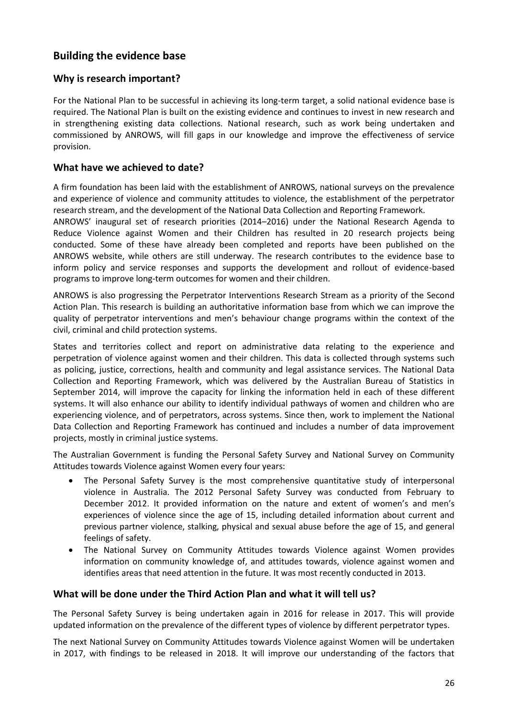# **Building the evidence base**

## **Why is research important?**

For the National Plan to be successful in achieving its long-term target, a solid national evidence base is required. The National Plan is built on the existing evidence and continues to invest in new research and in strengthening existing data collections. National research, such as work being undertaken and commissioned by ANROWS, will fill gaps in our knowledge and improve the effectiveness of service provision.

## **What have we achieved to date?**

A firm foundation has been laid with the establishment of ANROWS, national surveys on the prevalence and experience of violence and community attitudes to violence, the establishment of the perpetrator research stream, and the development of the National Data Collection and Reporting Framework.

ANROWS' inaugural set of research priorities (2014–2016) under the National Research Agenda to Reduce Violence against Women and their Children has resulted in 20 research projects being conducted. Some of these have already been completed and reports have been published on the ANROWS website, while others are still underway. The research contributes to the evidence base to inform policy and service responses and supports the development and rollout of evidence-based programs to improve long-term outcomes for women and their children.

ANROWS is also progressing the Perpetrator Interventions Research Stream as a priority of the Second Action Plan. This research is building an authoritative information base from which we can improve the quality of perpetrator interventions and men's behaviour change programs within the context of the civil, criminal and child protection systems.

States and territories collect and report on administrative data relating to the experience and perpetration of violence against women and their children. This data is collected through systems such as policing, justice, corrections, health and community and legal assistance services. The National Data Collection and Reporting Framework, which was delivered by the Australian Bureau of Statistics in September 2014, will improve the capacity for linking the information held in each of these different systems. It will also enhance our ability to identify individual pathways of women and children who are experiencing violence, and of perpetrators, across systems. Since then, work to implement the National Data Collection and Reporting Framework has continued and includes a number of data improvement projects, mostly in criminal justice systems.

The Australian Government is funding the Personal Safety Survey and National Survey on Community Attitudes towards Violence against Women every four years:

- The Personal Safety Survey is the most comprehensive quantitative study of interpersonal violence in Australia. The 2012 Personal Safety Survey was conducted from February to December 2012. It provided information on the nature and extent of women's and men's experiences of violence since the age of 15, including detailed information about current and previous partner violence, stalking, physical and sexual abuse before the age of 15, and general feelings of safety.
- The National Survey on Community Attitudes towards Violence against Women provides information on community knowledge of, and attitudes towards, violence against women and identifies areas that need attention in the future. It was most recently conducted in 2013.

## **What will be done under the Third Action Plan and what it will tell us?**

The Personal Safety Survey is being undertaken again in 2016 for release in 2017. This will provide updated information on the prevalence of the different types of violence by different perpetrator types.

The next National Survey on Community Attitudes towards Violence against Women will be undertaken in 2017, with findings to be released in 2018. It will improve our understanding of the factors that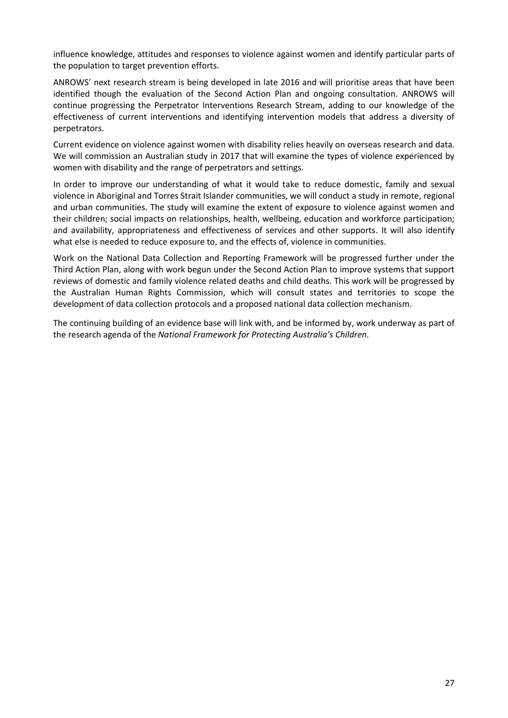influence knowledge, attitudes and responses to violence against women and identify particular parts of the population to target prevention efforts.

ANROWS' next research stream is being developed in late 2016 and will prioritise areas that have been identified though the evaluation of the Second Action Plan and ongoing consultation. ANROWS will continue progressing the Perpetrator Interventions Research Stream, adding to our knowledge of the effectiveness of current interventions and identifying intervention models that address a diversity of perpetrators.

Current evidence on violence against women with disability relies heavily on overseas research and data. We will commission an Australian study in 2017 that will examine the types of violence experienced by women with disability and the range of perpetrators and settings.

In order to improve our understanding of what it would take to reduce domestic, family and sexual violence in Aboriginal and Torres Strait Islander communities, we will conduct a study in remote, regional and urban communities. The study will examine the extent of exposure to violence against women and their children; social impacts on relationships, health, wellbeing, education and workforce participation; and availability, appropriateness and effectiveness of services and other supports. It will also identify what else is needed to reduce exposure to, and the effects of, violence in communities.

Work on the National Data Collection and Reporting Framework will be progressed further under the Third Action Plan, along with work begun under the Second Action Plan to improve systems that support reviews of domestic and family violence related deaths and child deaths. This work will be progressed by the Australian Human Rights Commission, which will consult states and territories to scope the development of data collection protocols and a proposed national data collection mechanism.

The continuing building of an evidence base will link with, and be informed by, work underway as part of the research agenda of the *National Framework for Protecting Australia's Children*.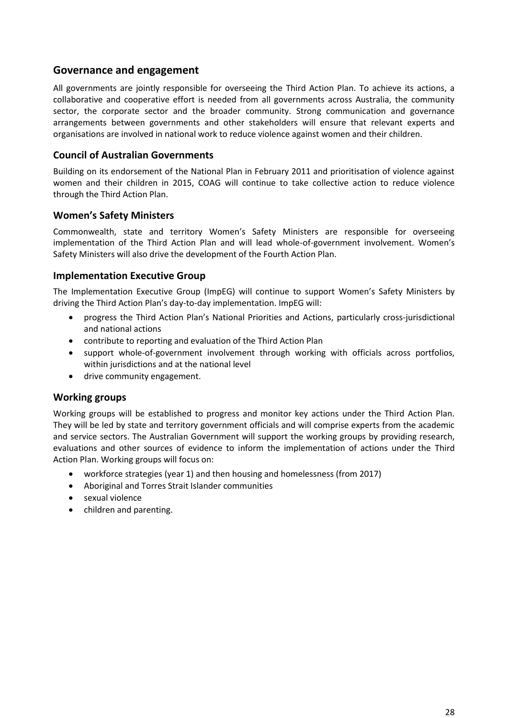## **Governance and engagement**

All governments are jointly responsible for overseeing the Third Action Plan. To achieve its actions, a collaborative and cooperative effort is needed from all governments across Australia, the community sector, the corporate sector and the broader community. Strong communication and governance arrangements between governments and other stakeholders will ensure that relevant experts and organisations are involved in national work to reduce violence against women and their children.

## **Council of Australian Governments**

Building on its endorsement of the National Plan in February 2011 and prioritisation of violence against women and their children in 2015, COAG will continue to take collective action to reduce violence through the Third Action Plan.

## **Women's Safety Ministers**

Commonwealth, state and territory Women's Safety Ministers are responsible for overseeing implementation of the Third Action Plan and will lead whole-of-government involvement. Women's Safety Ministers will also drive the development of the Fourth Action Plan.

## **Implementation Executive Group**

The Implementation Executive Group (ImpEG) will continue to support Women's Safety Ministers by driving the Third Action Plan's day-to-day implementation. ImpEG will:

- progress the Third Action Plan's National Priorities and Actions, particularly cross-jurisdictional and national actions
- contribute to reporting and evaluation of the Third Action Plan
- support whole-of-government involvement through working with officials across portfolios, within jurisdictions and at the national level
- drive community engagement.

## **Working groups**

Working groups will be established to progress and monitor key actions under the Third Action Plan. They will be led by state and territory government officials and will comprise experts from the academic and service sectors. The Australian Government will support the working groups by providing research, evaluations and other sources of evidence to inform the implementation of actions under the Third Action Plan. Working groups will focus on:

- workforce strategies (year 1) and then housing and homelessness (from 2017)
- Aboriginal and Torres Strait Islander communities
- sexual violence
- children and parenting.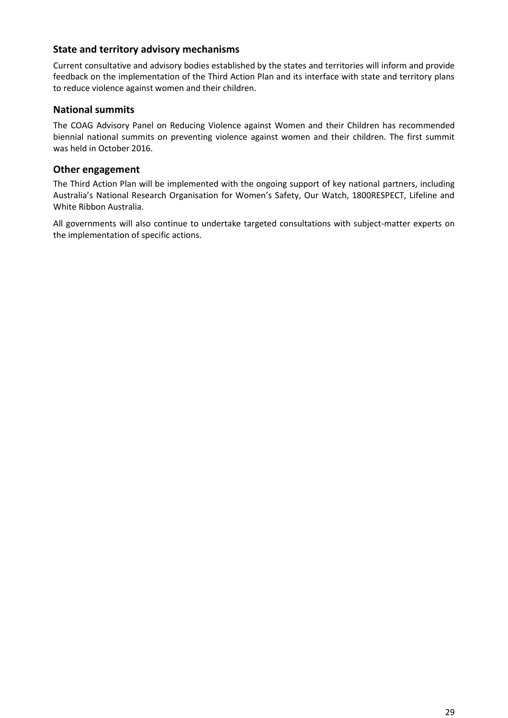## **State and territory advisory mechanisms**

Current consultative and advisory bodies established by the states and territories will inform and provide feedback on the implementation of the Third Action Plan and its interface with state and territory plans to reduce violence against women and their children.

## **National summits**

The COAG Advisory Panel on Reducing Violence against Women and their Children has recommended biennial national summits on preventing violence against women and their children. The first summit was held in October 2016.

## **Other engagement**

The Third Action Plan will be implemented with the ongoing support of key national partners, including Australia's National Research Organisation for Women's Safety, Our Watch, 1800RESPECT, Lifeline and White Ribbon Australia.

All governments will also continue to undertake targeted consultations with subject-matter experts on the implementation of specific actions.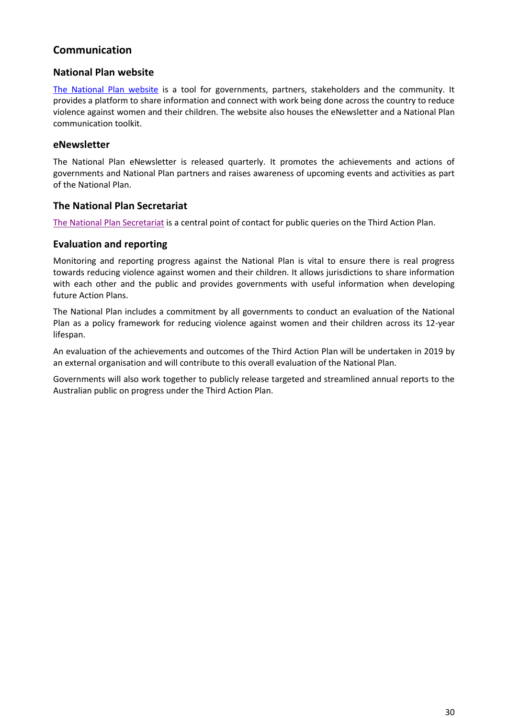# **Communication**

## **National Plan website**

[The National Plan website](http://plan4womenssafety.dss.gov.au/) is a tool for governments, partners, stakeholders and the community. It provides a platform to share information and connect with work being done across the country to reduce violence against women and their children. The website also houses the eNewsletter and a National Plan communication toolkit.

## **eNewsletter**

The National Plan eNewsletter is released quarterly. It promotes the achievements and actions of governments and National Plan partners and raises awareness of upcoming events and activities as part of the National Plan.

## **The National Plan Secretariat**

[The National Plan Secretariat](mailto:npsecretariat@dss.gov.au) is a central point of contact for public queries on the Third Action Plan.

## **Evaluation and reporting**

Monitoring and reporting progress against the National Plan is vital to ensure there is real progress towards reducing violence against women and their children. It allows jurisdictions to share information with each other and the public and provides governments with useful information when developing future Action Plans.

The National Plan includes a commitment by all governments to conduct an evaluation of the National Plan as a policy framework for reducing violence against women and their children across its 12-year lifespan.

An evaluation of the achievements and outcomes of the Third Action Plan will be undertaken in 2019 by an external organisation and will contribute to this overall evaluation of the National Plan.

Governments will also work together to publicly release targeted and streamlined annual reports to the Australian public on progress under the Third Action Plan.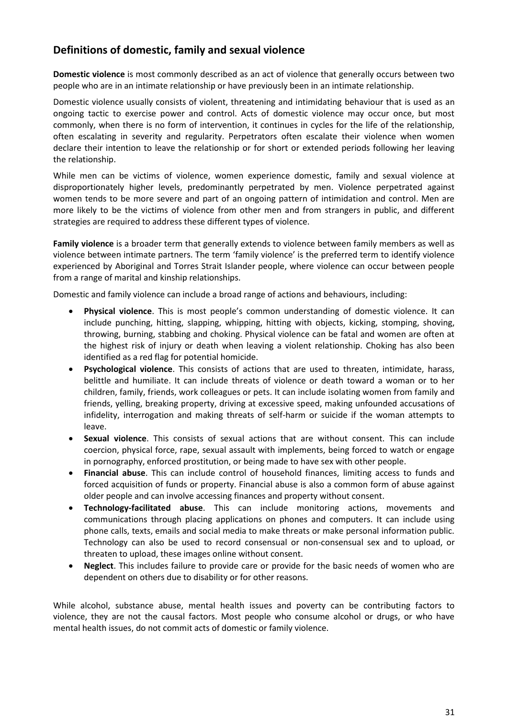# **Definitions of domestic, family and sexual violence**

**Domestic violence** is most commonly described as an act of violence that generally occurs between two people who are in an intimate relationship or have previously been in an intimate relationship.

Domestic violence usually consists of violent, threatening and intimidating behaviour that is used as an ongoing tactic to exercise power and control. Acts of domestic violence may occur once, but most commonly, when there is no form of intervention, it continues in cycles for the life of the relationship, often escalating in severity and regularity. Perpetrators often escalate their violence when women declare their intention to leave the relationship or for short or extended periods following her leaving the relationship.

While men can be victims of violence, women experience domestic, family and sexual violence at disproportionately higher levels, predominantly perpetrated by men. Violence perpetrated against women tends to be more severe and part of an ongoing pattern of intimidation and control. Men are more likely to be the victims of violence from other men and from strangers in public, and different strategies are required to address these different types of violence.

**Family violence** is a broader term that generally extends to violence between family members as well as violence between intimate partners. The term 'family violence' is the preferred term to identify violence experienced by Aboriginal and Torres Strait Islander people, where violence can occur between people from a range of marital and kinship relationships.

Domestic and family violence can include a broad range of actions and behaviours, including:

- **Physical violence**. This is most people's common understanding of domestic violence. It can include punching, hitting, slapping, whipping, hitting with objects, kicking, stomping, shoving, throwing, burning, stabbing and choking. Physical violence can be fatal and women are often at the highest risk of injury or death when leaving a violent relationship. Choking has also been identified as a red flag for potential homicide.
- **Psychological violence**. This consists of actions that are used to threaten, intimidate, harass, belittle and humiliate. It can include threats of violence or death toward a woman or to her children, family, friends, work colleagues or pets. It can include isolating women from family and friends, yelling, breaking property, driving at excessive speed, making unfounded accusations of infidelity, interrogation and making threats of self-harm or suicide if the woman attempts to leave.
- **Sexual violence**. This consists of sexual actions that are without consent. This can include coercion, physical force, rape, sexual assault with implements, being forced to watch or engage in pornography, enforced prostitution, or being made to have sex with other people.
- **Financial abuse**. This can include control of household finances, limiting access to funds and forced acquisition of funds or property. Financial abuse is also a common form of abuse against older people and can involve accessing finances and property without consent.
- **Technology-facilitated abuse**. This can include monitoring actions, movements and communications through placing applications on phones and computers. It can include using phone calls, texts, emails and social media to make threats or make personal information public. Technology can also be used to record consensual or non-consensual sex and to upload, or threaten to upload, these images online without consent.
- **Neglect**. This includes failure to provide care or provide for the basic needs of women who are dependent on others due to disability or for other reasons.

While alcohol, substance abuse, mental health issues and poverty can be contributing factors to violence, they are not the causal factors. Most people who consume alcohol or drugs, or who have mental health issues, do not commit acts of domestic or family violence.